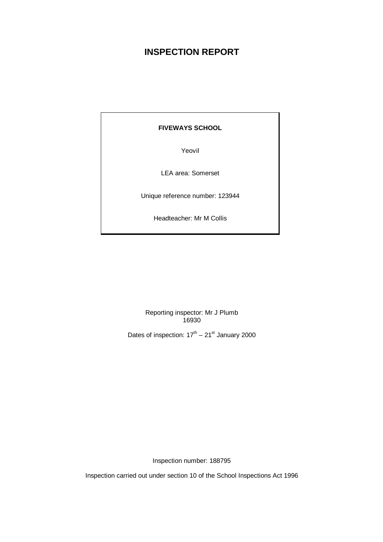# **INSPECTION REPORT**

# **FIVEWAYS SCHOOL**

Yeovil

LEA area: Somerset

Unique reference number: 123944

Headteacher: Mr M Collis

Reporting inspector: Mr J Plumb 16930

Dates of inspection:  $17<sup>th</sup> - 21<sup>st</sup>$  January 2000

Inspection number: 188795

Inspection carried out under section 10 of the School Inspections Act 1996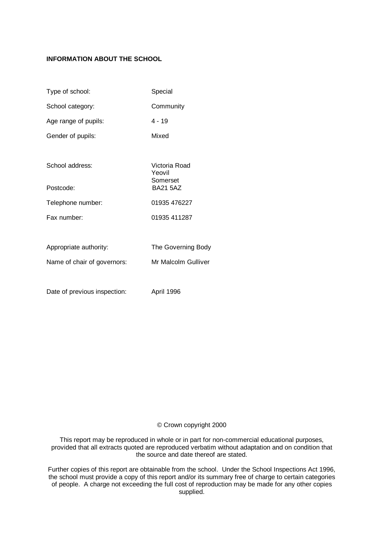# **INFORMATION ABOUT THE SCHOOL**

| Type of school:             | Special                             |
|-----------------------------|-------------------------------------|
| School category:            | Community                           |
| Age range of pupils:        | 4 - 19                              |
| Gender of pupils:           | Mixed                               |
|                             |                                     |
| School address:             | Victoria Road<br>Yeovil<br>Somerset |
| Postcode:                   | <b>BA21 5AZ</b>                     |
| Telephone number:           | 01935 476227                        |
| Fax number:                 | 01935 411287                        |
|                             |                                     |
| Appropriate authority:      | The Governing Body                  |
| Name of chair of governors: | Mr Malcolm Gulliver                 |
|                             |                                     |

Date of previous inspection: April 1996

### © Crown copyright 2000

This report may be reproduced in whole or in part for non-commercial educational purposes, provided that all extracts quoted are reproduced verbatim without adaptation and on condition that the source and date thereof are stated.

Further copies of this report are obtainable from the school. Under the School Inspections Act 1996, the school must provide a copy of this report and/or its summary free of charge to certain categories of people. A charge not exceeding the full cost of reproduction may be made for any other copies supplied.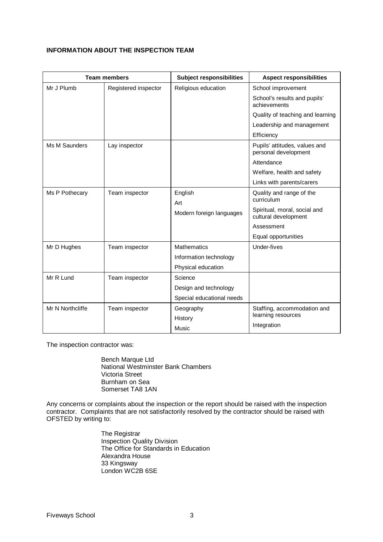# **INFORMATION ABOUT THE INSPECTION TEAM**

| <b>Team members</b> |                      | <b>Subject responsibilities</b> | <b>Aspect responsibilities</b>                        |
|---------------------|----------------------|---------------------------------|-------------------------------------------------------|
| Mr J Plumb          | Registered inspector | Religious education             | School improvement                                    |
|                     |                      |                                 | School's results and pupils'<br>achievements          |
|                     |                      |                                 | Quality of teaching and learning                      |
|                     |                      |                                 | Leadership and management                             |
|                     |                      |                                 | Efficiency                                            |
| Ms M Saunders       | Lay inspector        |                                 | Pupils' attitudes, values and<br>personal development |
|                     |                      |                                 | Attendance                                            |
|                     |                      |                                 | Welfare, health and safety                            |
|                     |                      |                                 | Links with parents/carers                             |
| Ms P Pothecary      | Team inspector       | English<br>Art                  | Quality and range of the<br>curriculum                |
|                     |                      | Modern foreign languages        | Spiritual, moral, social and<br>cultural development  |
|                     |                      |                                 | Assessment                                            |
|                     |                      |                                 | Equal opportunities                                   |
| Mr D Hughes         | Team inspector       | <b>Mathematics</b>              | Under-fives                                           |
|                     |                      | Information technology          |                                                       |
|                     |                      | Physical education              |                                                       |
| Mr R Lund           | Team inspector       | Science                         |                                                       |
|                     |                      | Design and technology           |                                                       |
|                     |                      | Special educational needs       |                                                       |
| Mr N Northcliffe    | Team inspector       | Geography                       | Staffing, accommodation and                           |
|                     |                      | History                         | learning resources                                    |
|                     |                      | Music                           | Integration                                           |

The inspection contractor was:

Bench Marque Ltd National Westminster Bank Chambers Victoria Street Burnham on Sea Somerset TA8 1AN

Any concerns or complaints about the inspection or the report should be raised with the inspection contractor. Complaints that are not satisfactorily resolved by the contractor should be raised with OFSTED by writing to:

> The Registrar Inspection Quality Division The Office for Standards in Education Alexandra House 33 Kingsway London WC2B 6SE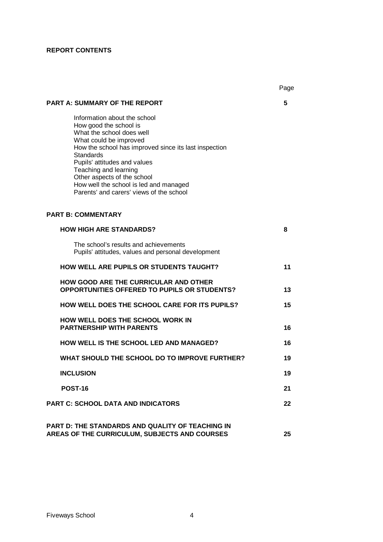# **REPORT CONTENTS**

|                                                                                                                                                                                                                                                                                                                                                                   | Page |
|-------------------------------------------------------------------------------------------------------------------------------------------------------------------------------------------------------------------------------------------------------------------------------------------------------------------------------------------------------------------|------|
| <b>PART A: SUMMARY OF THE REPORT</b>                                                                                                                                                                                                                                                                                                                              | 5    |
| Information about the school<br>How good the school is<br>What the school does well<br>What could be improved<br>How the school has improved since its last inspection<br>Standards<br>Pupils' attitudes and values<br>Teaching and learning<br>Other aspects of the school<br>How well the school is led and managed<br>Parents' and carers' views of the school |      |
| <b>PART B: COMMENTARY</b>                                                                                                                                                                                                                                                                                                                                         |      |
| <b>HOW HIGH ARE STANDARDS?</b>                                                                                                                                                                                                                                                                                                                                    | 8    |
| The school's results and achievements<br>Pupils' attitudes, values and personal development                                                                                                                                                                                                                                                                       |      |
| <b>HOW WELL ARE PUPILS OR STUDENTS TAUGHT?</b>                                                                                                                                                                                                                                                                                                                    | 11   |
| <b>HOW GOOD ARE THE CURRICULAR AND OTHER</b><br>OPPORTUNITIES OFFERED TO PUPILS OR STUDENTS?                                                                                                                                                                                                                                                                      | 13   |
| <b>HOW WELL DOES THE SCHOOL CARE FOR ITS PUPILS?</b>                                                                                                                                                                                                                                                                                                              | 15   |
| <b>HOW WELL DOES THE SCHOOL WORK IN</b><br><b>PARTNERSHIP WITH PARENTS</b>                                                                                                                                                                                                                                                                                        | 16   |
| <b>HOW WELL IS THE SCHOOL LED AND MANAGED?</b>                                                                                                                                                                                                                                                                                                                    | 16   |
| WHAT SHOULD THE SCHOOL DO TO IMPROVE FURTHER?                                                                                                                                                                                                                                                                                                                     | 19   |
| <b>INCLUSION</b>                                                                                                                                                                                                                                                                                                                                                  | 19   |
| <b>POST-16</b>                                                                                                                                                                                                                                                                                                                                                    | 21   |
| PART C: SCHOOL DATA AND INDICATORS                                                                                                                                                                                                                                                                                                                                | 22   |
| PART D: THE STANDARDS AND QUALITY OF TEACHING IN<br>AREAS OF THE CURRICULUM, SUBJECTS AND COURSES                                                                                                                                                                                                                                                                 | 25   |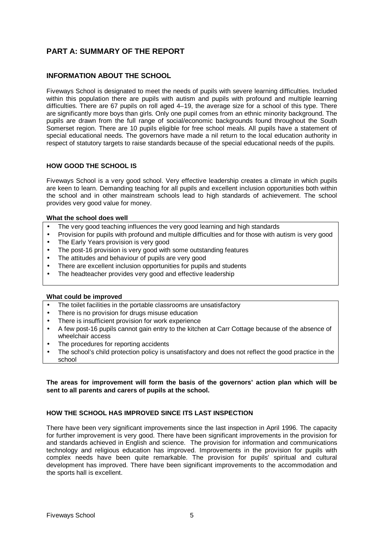# **PART A: SUMMARY OF THE REPORT**

# **INFORMATION ABOUT THE SCHOOL**

Fiveways School is designated to meet the needs of pupils with severe learning difficulties. Included within this population there are pupils with autism and pupils with profound and multiple learning difficulties. There are 67 pupils on roll aged 4–19, the average size for a school of this type. There are significantly more boys than girls. Only one pupil comes from an ethnic minority background. The pupils are drawn from the full range of social/economic backgrounds found throughout the South Somerset region. There are 10 pupils eligible for free school meals. All pupils have a statement of special educational needs. The governors have made a nil return to the local education authority in respect of statutory targets to raise standards because of the special educational needs of the pupils.

# **HOW GOOD THE SCHOOL IS**

Fiveways School is a very good school. Very effective leadership creates a climate in which pupils are keen to learn. Demanding teaching for all pupils and excellent inclusion opportunities both within the school and in other mainstream schools lead to high standards of achievement. The school provides very good value for money.

#### **What the school does well**

- The very good teaching influences the very good learning and high standards
- Provision for pupils with profound and multiple difficulties and for those with autism is very good
- The Early Years provision is very good
- The post-16 provision is very good with some outstanding features
- The attitudes and behaviour of pupils are very good
- There are excellent inclusion opportunities for pupils and students
- The headteacher provides very good and effective leadership

#### **What could be improved**

- The toilet facilities in the portable classrooms are unsatisfactory
- There is no provision for drugs misuse education
- There is insufficient provision for work experience
- A few post-16 pupils cannot gain entry to the kitchen at Carr Cottage because of the absence of wheelchair access
- The procedures for reporting accidents
- The school's child protection policy is unsatisfactory and does not reflect the good practice in the school

**The areas for improvement will form the basis of the governors' action plan which will be sent to all parents and carers of pupils at the school.**

# **HOW THE SCHOOL HAS IMPROVED SINCE ITS LAST INSPECTION**

There have been very significant improvements since the last inspection in April 1996. The capacity for further improvement is very good. There have been significant improvements in the provision for and standards achieved in English and science. The provision for information and communications technology and religious education has improved. Improvements in the provision for pupils with complex needs have been quite remarkable. The provision for pupils' spiritual and cultural development has improved. There have been significant improvements to the accommodation and the sports hall is excellent.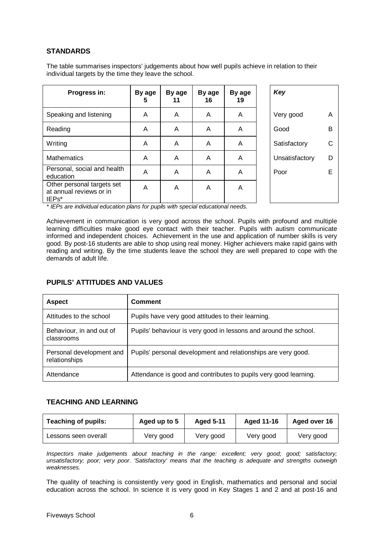# **STANDARDS**

The table summarises inspectors' judgements about how well pupils achieve in relation to their individual targets by the time they leave the school.

| Progress in:                                                                | By age<br>5 | By age<br>11 | By age<br>16 | By age<br>19 | Key            |   |
|-----------------------------------------------------------------------------|-------------|--------------|--------------|--------------|----------------|---|
| Speaking and listening                                                      | A           | A            | A            | A            | Very good      | A |
| Reading                                                                     | A           | A            | A            | A            | Good           | B |
| Writing                                                                     | A           | A            | A            | A            | Satisfactory   | С |
| <b>Mathematics</b>                                                          | A           | A            | A            | A            | Unsatisfactory | D |
| Personal, social and health<br>education                                    | A           | A            | A            | A            | Poor           | Е |
| Other personal targets set<br>at annual reviews or in<br>IEP <sub>s</sub> * | A           | A            | A            | A            |                |   |

*\* IEPs are individual education plans for pupils with special educational needs.*

Achievement in communication is very good across the school. Pupils with profound and multiple learning difficulties make good eye contact with their teacher. Pupils with autism communicate informed and independent choices. Achievement in the use and application of number skills is very good. By post-16 students are able to shop using real money. Higher achievers make rapid gains with reading and writing. By the time students leave the school they are well prepared to cope with the demands of adult life.

# **PUPILS' ATTITUDES AND VALUES**

| <b>Aspect</b>                             | Comment                                                          |
|-------------------------------------------|------------------------------------------------------------------|
| Attitudes to the school                   | Pupils have very good attitudes to their learning.               |
| Behaviour, in and out of<br>classrooms    | Pupils' behaviour is very good in lessons and around the school. |
| Personal development and<br>relationships | Pupils' personal development and relationships are very good.    |
| Attendance                                | Attendance is good and contributes to pupils very good learning. |

# **TEACHING AND LEARNING**

| <b>Teaching of pupils:</b> | Aged up to 5 | <b>Aged 5-11</b> | <b>Aged 11-16</b> | Aged over 16 |
|----------------------------|--------------|------------------|-------------------|--------------|
| Lessons seen overall       | Very good    | Very good        | Very good         | Very good    |

*Inspectors make judgements about teaching in the range: excellent; very good; good; satisfactory; unsatisfactory; poor; very poor. 'Satisfactory' means that the teaching is adequate and strengths outweigh weaknesses.*

The quality of teaching is consistently very good in English, mathematics and personal and social education across the school. In science it is very good in Key Stages 1 and 2 and at post-16 and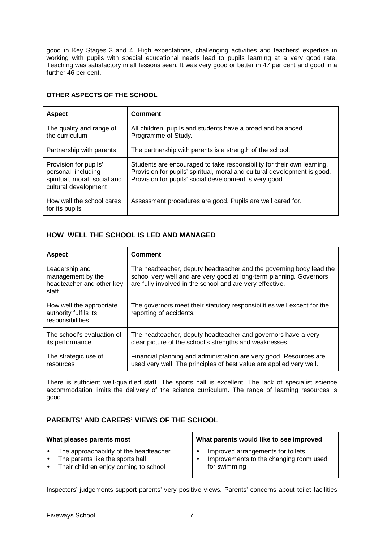good in Key Stages 3 and 4. High expectations, challenging activities and teachers' expertise in working with pupils with special educational needs lead to pupils learning at a very good rate. Teaching was satisfactory in all lessons seen. It was very good or better in 47 per cent and good in a further 46 per cent.

| <b>Aspect</b>                                                                                        | <b>Comment</b>                                                                                                                                                                                               |
|------------------------------------------------------------------------------------------------------|--------------------------------------------------------------------------------------------------------------------------------------------------------------------------------------------------------------|
| The quality and range of<br>the curriculum                                                           | All children, pupils and students have a broad and balanced<br>Programme of Study.                                                                                                                           |
| Partnership with parents                                                                             | The partnership with parents is a strength of the school.                                                                                                                                                    |
| Provision for pupils'<br>personal, including<br>spiritual, moral, social and<br>cultural development | Students are encouraged to take responsibility for their own learning.<br>Provision for pupils' spiritual, moral and cultural development is good.<br>Provision for pupils' social development is very good. |
| How well the school cares<br>for its pupils                                                          | Assessment procedures are good. Pupils are well cared for.                                                                                                                                                   |

# **OTHER ASPECTS OF THE SCHOOL**

# **HOW WELL THE SCHOOL IS LED AND MANAGED**

| <b>Aspect</b>                                                             | <b>Comment</b>                                                                                                                                                                                         |
|---------------------------------------------------------------------------|--------------------------------------------------------------------------------------------------------------------------------------------------------------------------------------------------------|
| Leadership and<br>management by the<br>headteacher and other key<br>staff | The headteacher, deputy headteacher and the governing body lead the<br>school very well and are very good at long-term planning. Governors<br>are fully involved in the school and are very effective. |
| How well the appropriate<br>authority fulfils its<br>responsibilities     | The governors meet their statutory responsibilities well except for the<br>reporting of accidents.                                                                                                     |
| The school's evaluation of<br>its performance                             | The headteacher, deputy headteacher and governors have a very<br>clear picture of the school's strengths and weaknesses.                                                                               |
| The strategic use of<br>resources                                         | Financial planning and administration are very good. Resources are<br>used very well. The principles of best value are applied very well.                                                              |

There is sufficient well-qualified staff. The sports hall is excellent. The lack of specialist science accommodation limits the delivery of the science curriculum. The range of learning resources is good.

# **PARENTS' AND CARERS' VIEWS OF THE SCHOOL**

| What pleases parents most                                                                                           | What parents would like to see improved                                                     |
|---------------------------------------------------------------------------------------------------------------------|---------------------------------------------------------------------------------------------|
| The approachability of the headteacher<br>The parents like the sports hall<br>Their children enjoy coming to school | Improved arrangements for toilets<br>Improvements to the changing room used<br>for swimming |

Inspectors' judgements support parents' very positive views. Parents' concerns about toilet facilities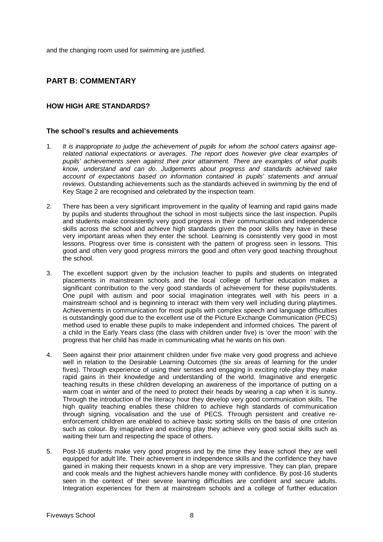and the changing room used for swimming are justified.

# **PART B: COMMENTARY**

# **HOW HIGH ARE STANDARDS?**

# **The school's results and achievements**

- 1. *It is inappropriate to judge the achievement of pupils for whom the school caters against agerelated national expectations or averages. The report does however give clear examples of pupils' achievements seen against their prior attainment. There are examples of what pupils know, understand and can do. Judgements about progress and standards achieved take account of expectations based on information contained in pupils' statements and annual reviews.* Outstanding achievements such as the standards achieved in swimming by the end of Key Stage 2 are recognised and celebrated by the inspection team.
- 2. There has been a very significant improvement in the quality of learning and rapid gains made by pupils and students throughout the school in most subjects since the last inspection. Pupils and students make consistently very good progress in their communication and independence skills across the school and achieve high standards given the poor skills they have in these very important areas when they enter the school. Learning is consistently very good in most lessons. Progress over time is consistent with the pattern of progress seen in lessons. This good and often very good progress mirrors the good and often very good teaching throughout the school.
- 3. The excellent support given by the inclusion teacher to pupils and students on integrated placements in mainstream schools and the local college of further education makes a significant contribution to the very good standards of achievement for these pupils/students. One pupil with autism and poor social imagination integrates well with his peers in a mainstream school and is beginning to interact with them very well including during playtimes. Achievements in communication for most pupils with complex speech and language difficulties is outstandingly good due to the excellent use of the Picture Exchange Communication (PECS) method used to enable these pupils to make independent and informed choices. The parent of a child in the Early Years class (the class with children under five) is 'over the moon' with the progress that her child has made in communicating what he wants on his own.
- 4. Seen against their prior attainment children under five make very good progress and achieve well in relation to the Desirable Learning Outcomes (the six areas of learning for the under fives). Through experience of using their senses and engaging in exciting role-play they make rapid gains in their knowledge and understanding of the world. Imaginative and energetic teaching results in these children developing an awareness of the importance of putting on a warm coat in winter and of the need to protect their heads by wearing a cap when it is sunny. Through the introduction of the literacy hour they develop very good communication skills. The high quality teaching enables these children to achieve high standards of communication through signing, vocalisation and the use of PECS. Through persistent and creative reenforcement children are enabled to achieve basic sorting skills on the basis of one criterion such as colour. By imaginative and exciting play they achieve very good social skills such as waiting their turn and respecting the space of others.
- 5. Post-16 students make very good progress and by the time they leave school they are well equipped for adult life. Their achievement in independence skills and the confidence they have gained in making their requests known in a shop are very impressive. They can plan, prepare and cook meals and the highest achievers handle money with confidence. By post-16 students seen in the context of their severe learning difficulties are confident and secure adults. Integration experiences for them at mainstream schools and a college of further education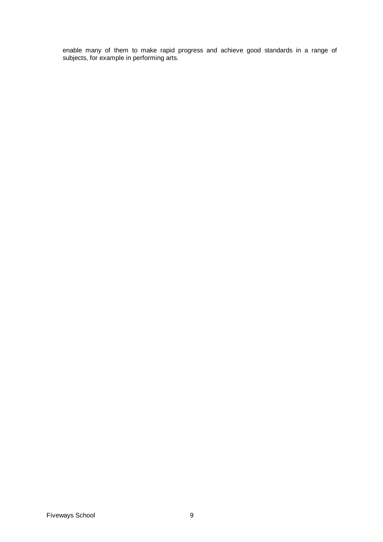enable many of them to make rapid progress and achieve good standards in a range of subjects, for example in performing arts.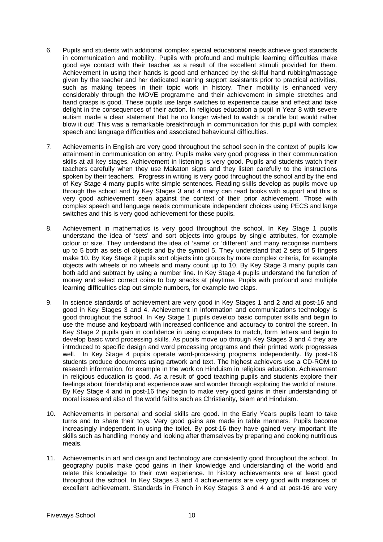- 6. Pupils and students with additional complex special educational needs achieve good standards in communication and mobility. Pupils with profound and multiple learning difficulties make good eye contact with their teacher as a result of the excellent stimuli provided for them. Achievement in using their hands is good and enhanced by the skilful hand rubbing/massage given by the teacher and her dedicated learning support assistants prior to practical activities, such as making tepees in their topic work in history. Their mobility is enhanced very considerably through the MOVE programme and their achievement in simple stretches and hand grasps is good. These pupils use large switches to experience cause and effect and take delight in the consequences of their action. In religious education a pupil in Year 8 with severe autism made a clear statement that he no longer wished to watch a candle but would rather blow it out! This was a remarkable breakthrough in communication for this pupil with complex speech and language difficulties and associated behavioural difficulties.
- 7. Achievements in English are very good throughout the school seen in the context of pupils low attainment in communication on entry. Pupils make very good progress in their communication skills at all key stages. Achievement in listening is very good. Pupils and students watch their teachers carefully when they use Makaton signs and they listen carefully to the instructions spoken by their teachers. Progress in writing is very good throughout the school and by the end of Key Stage 4 many pupils write simple sentences. Reading skills develop as pupils move up through the school and by Key Stages 3 and 4 many can read books with support and this is very good achievement seen against the context of their prior achievement. Those with complex speech and language needs communicate independent choices using PECS and large switches and this is very good achievement for these pupils.
- 8. Achievement in mathematics is very good throughout the school. In Key Stage 1 pupils understand the idea of 'sets' and sort objects into groups by single attributes, for example colour or size. They understand the idea of 'same' or 'different' and many recognise numbers up to 5 both as sets of objects and by the symbol 5. They understand that 2 sets of 5 fingers make 10. By Key Stage 2 pupils sort objects into groups by more complex criteria, for example objects with wheels or no wheels and many count up to 10. By Key Stage 3 many pupils can both add and subtract by using a number line. In Key Stage 4 pupils understand the function of money and select correct coins to buy snacks at playtime. Pupils with profound and multiple learning difficulties clap out simple numbers, for example two claps.
- 9. In science standards of achievement are very good in Key Stages 1 and 2 and at post-16 and good in Key Stages 3 and 4. Achievement in information and communications technology is good throughout the school. In Key Stage 1 pupils develop basic computer skills and begin to use the mouse and keyboard with increased confidence and accuracy to control the screen. In Key Stage 2 pupils gain in confidence in using computers to match, form letters and begin to develop basic word processing skills. As pupils move up through Key Stages 3 and 4 they are introduced to specific design and word processing programs and their printed work progresses well. In Key Stage 4 pupils operate word-processing programs independently. By post-16 students produce documents using artwork and text. The highest achievers use a CD-ROM to research information, for example in the work on Hinduism in religious education. Achievement in religious education is good. As a result of good teaching pupils and students explore their feelings about friendship and experience awe and wonder through exploring the world of nature. By Key Stage 4 and in post-16 they begin to make very good gains in their understanding of moral issues and also of the world faiths such as Christianity, Islam and Hinduism.
- 10. Achievements in personal and social skills are good. In the Early Years pupils learn to take turns and to share their toys. Very good gains are made in table manners. Pupils become increasingly independent in using the toilet. By post-16 they have gained very important life skills such as handling money and looking after themselves by preparing and cooking nutritious meals.
- 11. Achievements in art and design and technology are consistently good throughout the school. In geography pupils make good gains in their knowledge and understanding of the world and relate this knowledge to their own experience. In history achievements are at least good throughout the school. In Key Stages 3 and 4 achievements are very good with instances of excellent achievement. Standards in French in Key Stages 3 and 4 and at post-16 are very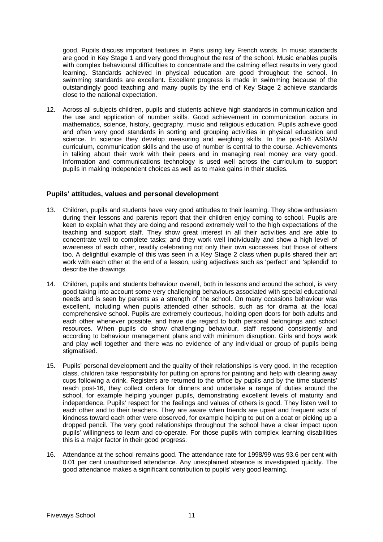good. Pupils discuss important features in Paris using key French words. In music standards are good in Key Stage 1 and very good throughout the rest of the school. Music enables pupils with complex behavioural difficulties to concentrate and the calming effect results in very good learning. Standards achieved in physical education are good throughout the school. In swimming standards are excellent. Excellent progress is made in swimming because of the outstandingly good teaching and many pupils by the end of Key Stage 2 achieve standards close to the national expectation.

12. Across all subjects children, pupils and students achieve high standards in communication and the use and application of number skills. Good achievement in communication occurs in mathematics, science, history, geography, music and religious education. Pupils achieve good and often very good standards in sorting and grouping activities in physical education and science. In science they develop measuring and weighing skills. In the post-16 ASDAN curriculum, communication skills and the use of number is central to the course. Achievements in talking about their work with their peers and in managing real money are very good. Information and communications technology is used well across the curriculum to support pupils in making independent choices as well as to make gains in their studies.

# **Pupils' attitudes, values and personal development**

- 13. Children, pupils and students have very good attitudes to their learning. They show enthusiasm during their lessons and parents report that their children enjoy coming to school. Pupils are keen to explain what they are doing and respond extremely well to the high expectations of the teaching and support staff. They show great interest in all their activities and are able to concentrate well to complete tasks; and they work well individually and show a high level of awareness of each other, readily celebrating not only their own successes, but those of others too. A delightful example of this was seen in a Key Stage 2 class when pupils shared their art work with each other at the end of a lesson, using adjectives such as 'perfect' and 'splendid' to describe the drawings.
- 14. Children, pupils and students behaviour overall, both in lessons and around the school, is very good taking into account some very challenging behaviours associated with special educational needs and is seen by parents as a strength of the school. On many occasions behaviour was excellent, including when pupils attended other schools, such as for drama at the local comprehensive school. Pupils are extremely courteous, holding open doors for both adults and each other whenever possible, and have due regard to both personal belongings and school resources. When pupils do show challenging behaviour, staff respond consistently and according to behaviour management plans and with minimum disruption. Girls and boys work and play well together and there was no evidence of any individual or group of pupils being stigmatised.
- 15. Pupils' personal development and the quality of their relationships is very good. In the reception class, children take responsibility for putting on aprons for painting and help with clearing away cups following a drink. Registers are returned to the office by pupils and by the time students' reach post-16, they collect orders for dinners and undertake a range of duties around the school, for example helping younger pupils, demonstrating excellent levels of maturity and independence. Pupils' respect for the feelings and values of others is good. They listen well to each other and to their teachers. They are aware when friends are upset and frequent acts of kindness toward each other were observed, for example helping to put on a coat or picking up a dropped pencil. The very good relationships throughout the school have a clear impact upon pupils' willingness to learn and co-operate. For those pupils with complex learning disabilities this is a major factor in their good progress.
- 16. Attendance at the school remains good. The attendance rate for 1998/99 was 93.6 per cent with 0.01 per cent unauthorised attendance. Any unexplained absence is investigated quickly. The good attendance makes a significant contribution to pupils' very good learning.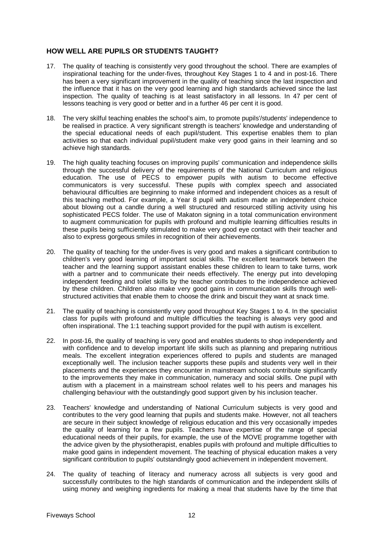# **HOW WELL ARE PUPILS OR STUDENTS TAUGHT?**

- 17. The quality of teaching is consistently very good throughout the school. There are examples of inspirational teaching for the under-fives, throughout Key Stages 1 to 4 and in post-16. There has been a very significant improvement in the quality of teaching since the last inspection and the influence that it has on the very good learning and high standards achieved since the last inspection. The quality of teaching is at least satisfactory in all lessons. In 47 per cent of lessons teaching is very good or better and in a further 46 per cent it is good.
- 18. The very skilful teaching enables the school's aim, to promote pupils'/students' independence to be realised in practice. A very significant strength is teachers' knowledge and understanding of the special educational needs of each pupil/student. This expertise enables them to plan activities so that each individual pupil/student make very good gains in their learning and so achieve high standards.
- 19. The high quality teaching focuses on improving pupils' communication and independence skills through the successful delivery of the requirements of the National Curriculum and religious education. The use of PECS to empower pupils with autism to become effective communicators is very successful. These pupils with complex speech and associated behavioural difficulties are beginning to make informed and independent choices as a result of this teaching method. For example, a Year 8 pupil with autism made an independent choice about blowing out a candle during a well structured and resourced stilling activity using his sophisticated PECS folder. The use of Makaton signing in a total communication environment to augment communication for pupils with profound and multiple learning difficulties results in these pupils being sufficiently stimulated to make very good eye contact with their teacher and also to express gorgeous smiles in recognition of their achievements.
- 20. The quality of teaching for the under-fives is very good and makes a significant contribution to children's very good learning of important social skills. The excellent teamwork between the teacher and the learning support assistant enables these children to learn to take turns, work with a partner and to communicate their needs effectively. The energy put into developing independent feeding and toilet skills by the teacher contributes to the independence achieved by these children. Children also make very good gains in communication skills through wellstructured activities that enable them to choose the drink and biscuit they want at snack time.
- 21. The quality of teaching is consistently very good throughout Key Stages 1 to 4. In the specialist class for pupils with profound and multiple difficulties the teaching is always very good and often inspirational. The 1:1 teaching support provided for the pupil with autism is excellent.
- 22. In post-16, the quality of teaching is very good and enables students to shop independently and with confidence and to develop important life skills such as planning and preparing nutritious meals. The excellent integration experiences offered to pupils and students are managed exceptionally well. The inclusion teacher supports these pupils and students very well in their placements and the experiences they encounter in mainstream schools contribute significantly to the improvements they make in communication, numeracy and social skills. One pupil with autism with a placement in a mainstream school relates well to his peers and manages his challenging behaviour with the outstandingly good support given by his inclusion teacher.
- 23. Teachers' knowledge and understanding of National Curriculum subjects is very good and contributes to the very good learning that pupils and students make. However, not all teachers are secure in their subject knowledge of religious education and this very occasionally impedes the quality of learning for a few pupils. Teachers have expertise of the range of special educational needs of their pupils, for example, the use of the MOVE programme together with the advice given by the physiotherapist, enables pupils with profound and multiple difficulties to make good gains in independent movement. The teaching of physical education makes a very significant contribution to pupils' outstandingly good achievement in independent movement.
- 24. The quality of teaching of literacy and numeracy across all subjects is very good and successfully contributes to the high standards of communication and the independent skills of using money and weighing ingredients for making a meal that students have by the time that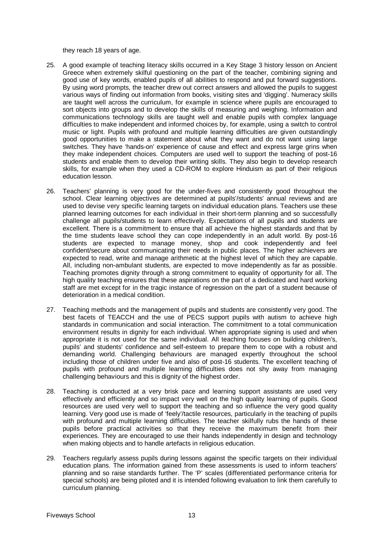they reach 18 years of age.

- 25. A good example of teaching literacy skills occurred in a Key Stage 3 history lesson on Ancient Greece when extremely skilful questioning on the part of the teacher, combining signing and good use of key words, enabled pupils of all abilities to respond and put forward suggestions. By using word prompts, the teacher drew out correct answers and allowed the pupils to suggest various ways of finding out information from books, visiting sites and 'digging'. Numeracy skills are taught well across the curriculum, for example in science where pupils are encouraged to sort objects into groups and to develop the skills of measuring and weighing. Information and communications technology skills are taught well and enable pupils with complex language difficulties to make independent and informed choices by, for example, using a switch to control music or light. Pupils with profound and multiple learning difficulties are given outstandingly good opportunities to make a statement about what they want and do not want using large switches. They have 'hands-on' experience of cause and effect and express large grins when they make independent choices. Computers are used well to support the teaching of post-16 students and enable them to develop their writing skills. They also begin to develop research skills, for example when they used a CD-ROM to explore Hinduism as part of their religious education lesson.
- 26. Teachers' planning is very good for the under-fives and consistently good throughout the school. Clear learning objectives are determined at pupils'/students' annual reviews and are used to devise very specific learning targets on individual education plans. Teachers use these planned learning outcomes for each individual in their short-term planning and so successfully challenge all pupils/students to learn effectively. Expectations of all pupils and students are excellent. There is a commitment to ensure that all achieve the highest standards and that by the time students leave school they can cope independently in an adult world. By post-16 students are expected to manage money, shop and cook independently and feel confident/secure about communicating their needs in public places. The higher achievers are expected to read, write and manage arithmetic at the highest level of which they are capable. All, including non-ambulant students, are expected to move independently as far as possible. Teaching promotes dignity through a strong commitment to equality of opportunity for all. The high quality teaching ensures that these aspirations on the part of a dedicated and hard working staff are met except for in the tragic instance of regression on the part of a student because of deterioration in a medical condition.
- 27. Teaching methods and the management of pupils and students are consistently very good. The best facets of TEACCH and the use of PECS support pupils with autism to achieve high standards in communication and social interaction. The commitment to a total communication environment results in dignity for each individual. When appropriate signing is used and when appropriate it is not used for the same individual. All teaching focuses on building children's, pupils' and students' confidence and self-esteem to prepare them to cope with a robust and demanding world. Challenging behaviours are managed expertly throughout the school including those of children under five and also of post-16 students. The excellent teaching of pupils with profound and multiple learning difficulties does not shy away from managing challenging behaviours and this is dignity of the highest order.
- 28. Teaching is conducted at a very brisk pace and learning support assistants are used very effectively and efficiently and so impact very well on the high quality learning of pupils. Good resources are used very well to support the teaching and so influence the very good quality learning. Very good use is made of 'feely'/tactile resources, particularly in the teaching of pupils with profound and multiple learning difficulties. The teacher skilfully rubs the hands of these pupils before practical activities so that they receive the maximum benefit from their experiences. They are encouraged to use their hands independently in design and technology when making objects and to handle artefacts in religious education.
- 29. Teachers regularly assess pupils during lessons against the specific targets on their individual education plans. The information gained from these assessments is used to inform teachers' planning and so raise standards further. The 'P' scales (differentiated performance criteria for special schools) are being piloted and it is intended following evaluation to link them carefully to curriculum planning.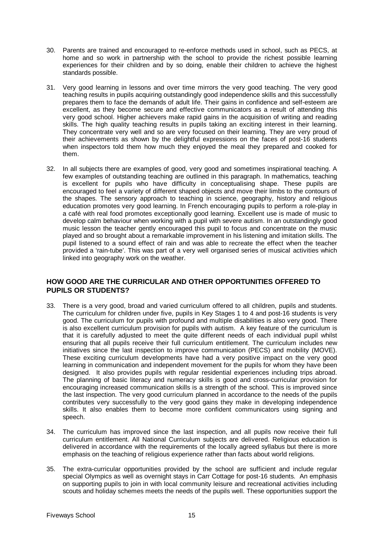- 30. Parents are trained and encouraged to re-enforce methods used in school, such as PECS, at home and so work in partnership with the school to provide the richest possible learning experiences for their children and by so doing, enable their children to achieve the highest standards possible.
- 31. Very good learning in lessons and over time mirrors the very good teaching. The very good teaching results in pupils acquiring outstandingly good independence skills and this successfully prepares them to face the demands of adult life. Their gains in confidence and self-esteem are excellent, as they become secure and effective communicators as a result of attending this very good school. Higher achievers make rapid gains in the acquisition of writing and reading skills. The high quality teaching results in pupils taking an exciting interest in their learning. They concentrate very well and so are very focused on their learning. They are very proud of their achievements as shown by the delightful expressions on the faces of post-16 students when inspectors told them how much they enjoyed the meal they prepared and cooked for them.
- 32. In all subjects there are examples of good, very good and sometimes inspirational teaching. A few examples of outstanding teaching are outlined in this paragraph. In mathematics, teaching is excellent for pupils who have difficulty in conceptualising shape. These pupils are encouraged to feel a variety of different shaped objects and move their limbs to the contours of the shapes. The sensory approach to teaching in science, geography, history and religious education promotes very good learning. In French encouraging pupils to perform a role-play in a café with real food promotes exceptionally good learning. Excellent use is made of music to develop calm behaviour when working with a pupil with severe autism. In an outstandingly good music lesson the teacher gently encouraged this pupil to focus and concentrate on the music played and so brought about a remarkable improvement in his listening and imitation skills. The pupil listened to a sound effect of rain and was able to recreate the effect when the teacher provided a 'rain-tube'. This was part of a very well organised series of musical activities which linked into geography work on the weather.

# **HOW GOOD ARE THE CURRICULAR AND OTHER OPPORTUNITIES OFFERED TO PUPILS OR STUDENTS?**

- 33. There is a very good, broad and varied curriculum offered to all children, pupils and students. The curriculum for children under five, pupils in Key Stages 1 to 4 and post-16 students is very good. The curriculum for pupils with profound and multiple disabilities is also very good. There is also excellent curriculum provision for pupils with autism. A key feature of the curriculum is that it is carefully adjusted to meet the quite different needs of each individual pupil whilst ensuring that all pupils receive their full curriculum entitlement. The curriculum includes new initiatives since the last inspection to improve communication (PECS) and mobility (MOVE). These exciting curriculum developments have had a very positive impact on the very good learning in communication and independent movement for the pupils for whom they have been designed. It also provides pupils with regular residential experiences including trips abroad. The planning of basic literacy and numeracy skills is good and cross-curricular provision for encouraging increased communication skills is a strength of the school. This is improved since the last inspection. The very good curriculum planned in accordance to the needs of the pupils contributes very successfully to the very good gains they make in developing independence skills. It also enables them to become more confident communicators using signing and speech.
- 34. The curriculum has improved since the last inspection, and all pupils now receive their full curriculum entitlement. All National Curriculum subjects are delivered. Religious education is delivered in accordance with the requirements of the locally agreed syllabus but there is more emphasis on the teaching of religious experience rather than facts about world religions.
- 35. The extra-curricular opportunities provided by the school are sufficient and include regular special Olympics as well as overnight stays in Carr Cottage for post-16 students. An emphasis on supporting pupils to join in with local community leisure and recreational activities including scouts and holiday schemes meets the needs of the pupils well. These opportunities support the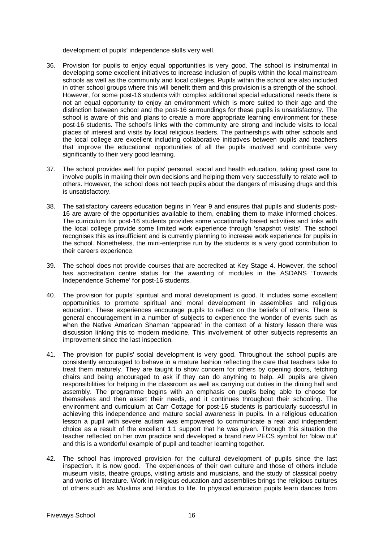development of pupils' independence skills very well.

- 36. Provision for pupils to enjoy equal opportunities is very good. The school is instrumental in developing some excellent initiatives to increase inclusion of pupils within the local mainstream schools as well as the community and local colleges. Pupils within the school are also included in other school groups where this will benefit them and this provision is a strength of the school. However, for some post-16 students with complex additional special educational needs there is not an equal opportunity to enjoy an environment which is more suited to their age and the distinction between school and the post-16 surroundings for these pupils is unsatisfactory. The school is aware of this and plans to create a more appropriate learning environment for these post-16 students. The school's links with the community are strong and include visits to local places of interest and visits by local religious leaders. The partnerships with other schools and the local college are excellent including collaborative initiatives between pupils and teachers that improve the educational opportunities of all the pupils involved and contribute very significantly to their very good learning.
- 37. The school provides well for pupils' personal, social and health education, taking great care to involve pupils in making their own decisions and helping them very successfully to relate well to others. However, the school does not teach pupils about the dangers of misusing drugs and this is unsatisfactory.
- 38. The satisfactory careers education begins in Year 9 and ensures that pupils and students post-16 are aware of the opportunities available to them, enabling them to make informed choices. The curriculum for post-16 students provides some vocationally based activities and links with the local college provide some limited work experience through 'snapshot visits'. The school recognises this as insufficient and is currently planning to increase work experience for pupils in the school. Nonetheless, the mini-enterprise run by the students is a very good contribution to their careers experience.
- 39. The school does not provide courses that are accredited at Key Stage 4. However, the school has accreditation centre status for the awarding of modules in the ASDANS 'Towards Independence Scheme' for post-16 students.
- 40. The provision for pupils' spiritual and moral development is good. It includes some excellent opportunities to promote spiritual and moral development in assemblies and religious education. These experiences encourage pupils to reflect on the beliefs of others. There is general encouragement in a number of subjects to experience the wonder of events such as when the Native American Shaman 'appeared' in the context of a history lesson there was discussion linking this to modern medicine. This involvement of other subjects represents an improvement since the last inspection.
- 41. The provision for pupils' social development is very good. Throughout the school pupils are consistently encouraged to behave in a mature fashion reflecting the care that teachers take to treat them maturely. They are taught to show concern for others by opening doors, fetching chairs and being encouraged to ask if they can do anything to help. All pupils are given responsibilities for helping in the classroom as well as carrying out duties in the dining hall and assembly. The programme begins with an emphasis on pupils being able to choose for themselves and then assert their needs, and it continues throughout their schooling. The environment and curriculum at Carr Cottage for post-16 students is particularly successful in achieving this independence and mature social awareness in pupils. In a religious education lesson a pupil with severe autism was empowered to communicate a real and independent choice as a result of the excellent 1:1 support that he was given. Through this situation the teacher reflected on her own practice and developed a brand new PECS symbol for 'blow out' and this is a wonderful example of pupil and teacher learning together.
- 42. The school has improved provision for the cultural development of pupils since the last inspection. It is now good. The experiences of their own culture and those of others include museum visits, theatre groups, visiting artists and musicians, and the study of classical poetry and works of literature. Work in religious education and assemblies brings the religious cultures of others such as Muslims and Hindus to life. In physical education pupils learn dances from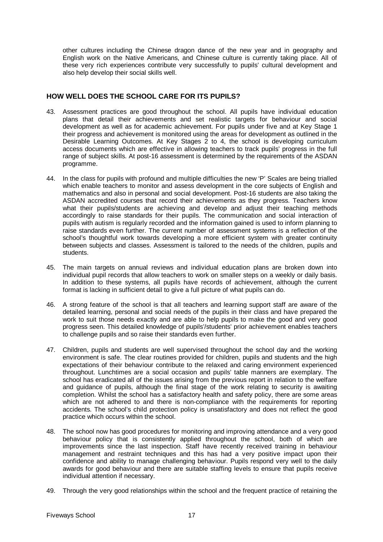other cultures including the Chinese dragon dance of the new year and in geography and English work on the Native Americans, and Chinese culture is currently taking place. All of these very rich experiences contribute very successfully to pupils' cultural development and also help develop their social skills well.

# **HOW WELL DOES THE SCHOOL CARE FOR ITS PUPILS?**

- 43. Assessment practices are good throughout the school. All pupils have individual education plans that detail their achievements and set realistic targets for behaviour and social development as well as for academic achievement. For pupils under five and at Key Stage 1 their progress and achievement is monitored using the areas for development as outlined in the Desirable Learning Outcomes. At Key Stages 2 to 4, the school is developing curriculum access documents which are effective in allowing teachers to track pupils' progress in the full range of subject skills. At post-16 assessment is determined by the requirements of the ASDAN programme.
- 44. In the class for pupils with profound and multiple difficulties the new 'P' Scales are being trialled which enable teachers to monitor and assess development in the core subjects of English and mathematics and also in personal and social development. Post-16 students are also taking the ASDAN accredited courses that record their achievements as they progress. Teachers know what their pupils/students are achieving and develop and adjust their teaching methods accordingly to raise standards for their pupils. The communication and social interaction of pupils with autism is regularly recorded and the information gained is used to inform planning to raise standards even further. The current number of assessment systems is a reflection of the school's thoughtful work towards developing a more efficient system with greater continuity between subjects and classes. Assessment is tailored to the needs of the children, pupils and students.
- 45. The main targets on annual reviews and individual education plans are broken down into individual pupil records that allow teachers to work on smaller steps on a weekly or daily basis. In addition to these systems, all pupils have records of achievement, although the current format is lacking in sufficient detail to give a full picture of what pupils can do.
- 46. A strong feature of the school is that all teachers and learning support staff are aware of the detailed learning, personal and social needs of the pupils in their class and have prepared the work to suit those needs exactly and are able to help pupils to make the good and very good progress seen. This detailed knowledge of pupils'/students' prior achievement enables teachers to challenge pupils and so raise their standards even further.
- 47. Children, pupils and students are well supervised throughout the school day and the working environment is safe. The clear routines provided for children, pupils and students and the high expectations of their behaviour contribute to the relaxed and caring environment experienced throughout. Lunchtimes are a social occasion and pupils' table manners are exemplary. The school has eradicated all of the issues arising from the previous report in relation to the welfare and guidance of pupils, although the final stage of the work relating to security is awaiting completion. Whilst the school has a satisfactory health and safety policy, there are some areas which are not adhered to and there is non-compliance with the requirements for reporting accidents. The school's child protection policy is unsatisfactory and does not reflect the good practice which occurs within the school.
- 48. The school now has good procedures for monitoring and improving attendance and a very good behaviour policy that is consistently applied throughout the school, both of which are improvements since the last inspection. Staff have recently received training in behaviour management and restraint techniques and this has had a very positive impact upon their confidence and ability to manage challenging behaviour. Pupils respond very well to the daily awards for good behaviour and there are suitable staffing levels to ensure that pupils receive individual attention if necessary.
- 49. Through the very good relationships within the school and the frequent practice of retaining the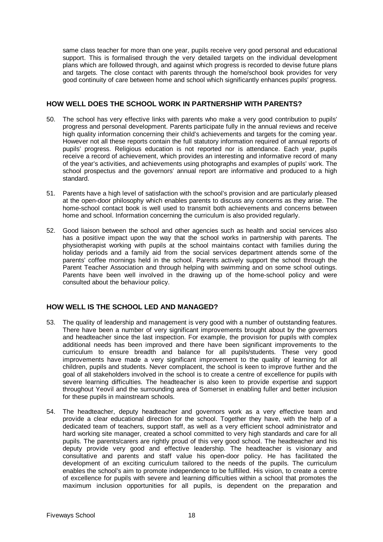same class teacher for more than one year, pupils receive very good personal and educational support. This is formalised through the very detailed targets on the individual development plans which are followed through, and against which progress is recorded to devise future plans and targets. The close contact with parents through the home/school book provides for very good continuity of care between home and school which significantly enhances pupils' progress.

# **HOW WELL DOES THE SCHOOL WORK IN PARTNERSHIP WITH PARENTS?**

- 50. The school has very effective links with parents who make a very good contribution to pupils' progress and personal development. Parents participate fully in the annual reviews and receive high quality information concerning their child's achievements and targets for the coming year. However not all these reports contain the full statutory information required of annual reports of pupils' progress. Religious education is not reported nor is attendance. Each year, pupils receive a record of achievement, which provides an interesting and informative record of many of the year's activities, and achievements using photographs and examples of pupils' work. The school prospectus and the governors' annual report are informative and produced to a high standard.
- 51. Parents have a high level of satisfaction with the school's provision and are particularly pleased at the open-door philosophy which enables parents to discuss any concerns as they arise. The home-school contact book is well used to transmit both achievements and concerns between home and school. Information concerning the curriculum is also provided regularly.
- 52. Good liaison between the school and other agencies such as health and social services also has a positive impact upon the way that the school works in partnership with parents. The physiotherapist working with pupils at the school maintains contact with families during the holiday periods and a family aid from the social services department attends some of the parents' coffee mornings held in the school. Parents actively support the school through the Parent Teacher Association and through helping with swimming and on some school outings. Parents have been well involved in the drawing up of the home-school policy and were consulted about the behaviour policy.

# **HOW WELL IS THE SCHOOL LED AND MANAGED?**

- 53. The quality of leadership and management is very good with a number of outstanding features. There have been a number of very significant improvements brought about by the governors and headteacher since the last inspection. For example, the provision for pupils with complex additional needs has been improved and there have been significant improvements to the curriculum to ensure breadth and balance for all pupils/students. These very good improvements have made a very significant improvement to the quality of learning for all children, pupils and students. Never complacent, the school is keen to improve further and the goal of all stakeholders involved in the school is to create a centre of excellence for pupils with severe learning difficulties. The headteacher is also keen to provide expertise and support throughout Yeovil and the surrounding area of Somerset in enabling fuller and better inclusion for these pupils in mainstream schools.
- 54. The headteacher, deputy headteacher and governors work as a very effective team and provide a clear educational direction for the school. Together they have, with the help of a dedicated team of teachers, support staff, as well as a very efficient school administrator and hard working site manager, created a school committed to very high standards and care for all pupils. The parents/carers are rightly proud of this very good school. The headteacher and his deputy provide very good and effective leadership. The headteacher is visionary and consultative and parents and staff value his open-door policy. He has facilitated the development of an exciting curriculum tailored to the needs of the pupils. The curriculum enables the school's aim to promote independence to be fulfilled. His vision, to create a centre of excellence for pupils with severe and learning difficulties within a school that promotes the maximum inclusion opportunities for all pupils, is dependent on the preparation and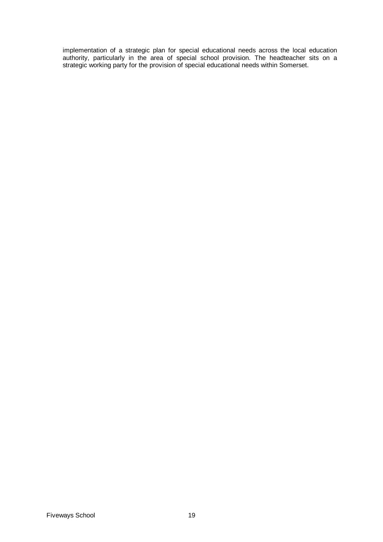implementation of a strategic plan for special educational needs across the local education authority, particularly in the area of special school provision. The headteacher sits on a strategic working party for the provision of special educational needs within Somerset.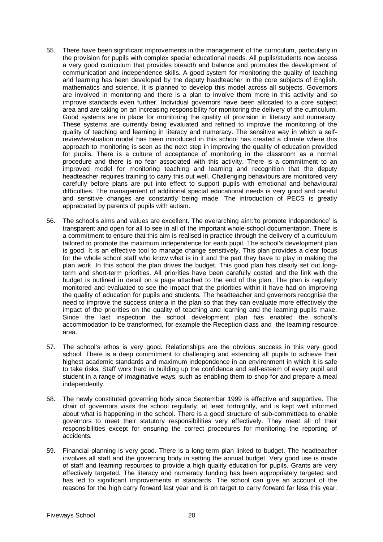- 55. There have been significant improvements in the management of the curriculum, particularly in the provision for pupils with complex special educational needs. All pupils/students now access a very good curriculum that provides breadth and balance and promotes the development of communication and independence skills. A good system for monitoring the quality of teaching and learning has been developed by the deputy headteacher in the core subjects of English, mathematics and science. It is planned to develop this model across all subjects. Governors are involved in monitoring and there is a plan to involve them more in this activity and so improve standards even further. Individual governors have been allocated to a core subject area and are taking on an increasing responsibility for monitoring the delivery of the curriculum. Good systems are in place for monitoring the quality of provision in literacy and numeracy. These systems are currently being evaluated and refined to improve the monitoring of the quality of teaching and learning in literacy and numeracy. The sensitive way in which a selfreview/evaluation model has been introduced in this school has created a climate where this approach to monitoring is seen as the next step in improving the quality of education provided for pupils. There is a culture of acceptance of monitoring in the classroom as a normal procedure and there is no fear associated with this activity. There is a commitment to an improved model for monitoring teaching and learning and recognition that the deputy headteacher requires training to carry this out well. Challenging behaviours are monitored very carefully before plans are put into effect to support pupils with emotional and behavioural difficulties. The management of additional special educational needs is very good and careful and sensitive changes are constantly being made. The introduction of PECS is greatly appreciated by parents of pupils with autism.
- 56. The school's aims and values are excellent. The overarching aim:'to promote independence' is transparent and open for all to see in all of the important whole-school documentation. There is a commitment to ensure that this aim is realised in practice through the delivery of a curriculum tailored to promote the maximum independence for each pupil. The school's development plan is good. It is an effective tool to manage change sensitively. This plan provides a clear focus for the whole school staff who know what is in it and the part they have to play in making the plan work. In this school the plan drives the budget. This good plan has clearly set out longterm and short-term priorities. All priorities have been carefully costed and the link with the budget is outlined in detail on a page attached to the end of the plan. The plan is regularly monitored and evaluated to see the impact that the priorities within it have had on improving the quality of education for pupils and students. The headteacher and governors recognise the need to improve the success criteria in the plan so that they can evaluate more effectively the impact of the priorities on the quality of teaching and learning and the learning pupils make. Since the last inspection the school development plan has enabled the school's accommodation to be transformed, for example the Reception class and the learning resource area.
- 57. The school's ethos is very good. Relationships are the obvious success in this very good school. There is a deep commitment to challenging and extending all pupils to achieve their highest academic standards and maximum independence in an environment in which it is safe to take risks. Staff work hard in building up the confidence and self-esteem of every pupil and student in a range of imaginative ways, such as enabling them to shop for and prepare a meal independently.
- 58. The newly constituted governing body since September 1999 is effective and supportive. The chair of governors visits the school regularly, at least fortnightly, and is kept well informed about what is happening in the school. There is a good structure of sub-committees to enable governors to meet their statutory responsibilities very effectively. They meet all of their responsibilities except for ensuring the correct procedures for monitoring the reporting of accidents.
- 59. Financial planning is very good. There is a long-term plan linked to budget. The headteacher involves all staff and the governing body in setting the annual budget. Very good use is made of staff and learning resources to provide a high quality education for pupils. Grants are very effectively targeted. The literacy and numeracy funding has been appropriately targeted and has led to significant improvements in standards. The school can give an account of the reasons for the high carry forward last year and is on target to carry forward far less this year.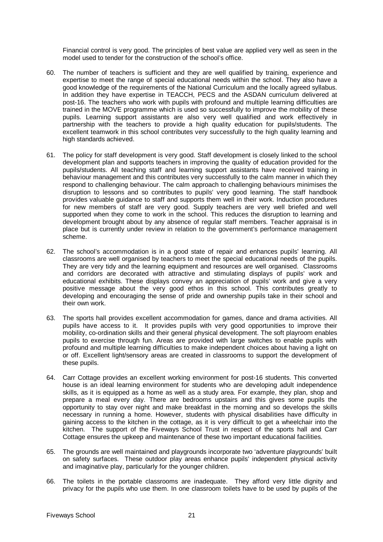Financial control is very good. The principles of best value are applied very well as seen in the model used to tender for the construction of the school's office.

- 60. The number of teachers is sufficient and they are well qualified by training, experience and expertise to meet the range of special educational needs within the school. They also have a good knowledge of the requirements of the National Curriculum and the locally agreed syllabus. In addition they have expertise in TEACCH, PECS and the ASDAN curriculum delivered at post-16. The teachers who work with pupils with profound and multiple learning difficulties are trained in the MOVE programme which is used so successfully to improve the mobility of these pupils. Learning support assistants are also very well qualified and work effectively in partnership with the teachers to provide a high quality education for pupils/students. The excellent teamwork in this school contributes very successfully to the high quality learning and high standards achieved.
- 61. The policy for staff development is very good. Staff development is closely linked to the school development plan and supports teachers in improving the quality of education provided for the pupils/students. All teaching staff and learning support assistants have received training in behaviour management and this contributes very successfully to the calm manner in which they respond to challenging behaviour. The calm approach to challenging behaviours minimises the disruption to lessons and so contributes to pupils' very good learning. The staff handbook provides valuable guidance to staff and supports them well in their work. Induction procedures for new members of staff are very good. Supply teachers are very well briefed and well supported when they come to work in the school. This reduces the disruption to learning and development brought about by any absence of regular staff members. Teacher appraisal is in place but is currently under review in relation to the government's performance management scheme.
- 62. The school's accommodation is in a good state of repair and enhances pupils' learning. All classrooms are well organised by teachers to meet the special educational needs of the pupils. They are very tidy and the learning equipment and resources are well organised. Classrooms and corridors are decorated with attractive and stimulating displays of pupils' work and educational exhibits. These displays convey an appreciation of pupils' work and give a very positive message about the very good ethos in this school. This contributes greatly to developing and encouraging the sense of pride and ownership pupils take in their school and their own work.
- 63. The sports hall provides excellent accommodation for games, dance and drama activities. All pupils have access to it. It provides pupils with very good opportunities to improve their mobility, co-ordination skills and their general physical development. The soft playroom enables pupils to exercise through fun. Areas are provided with large switches to enable pupils with profound and multiple learning difficulties to make independent choices about having a light on or off. Excellent light/sensory areas are created in classrooms to support the development of these pupils.
- 64. Carr Cottage provides an excellent working environment for post-16 students. This converted house is an ideal learning environment for students who are developing adult independence skills, as it is equipped as a home as well as a study area. For example, they plan, shop and prepare a meal every day. There are bedrooms upstairs and this gives some pupils the opportunity to stay over night and make breakfast in the morning and so develops the skills necessary in running a home. However, students with physical disabilities have difficulty in gaining access to the kitchen in the cottage, as it is very difficult to get a wheelchair into the kitchen. The support of the Fiveways School Trust in respect of the sports hall and Carr Cottage ensures the upkeep and maintenance of these two important educational facilities.
- 65. The grounds are well maintained and playgrounds incorporate two 'adventure playgrounds' built on safety surfaces. These outdoor play areas enhance pupils' independent physical activity and imaginative play, particularly for the younger children.
- 66. The toilets in the portable classrooms are inadequate. They afford very little dignity and privacy for the pupils who use them. In one classroom toilets have to be used by pupils of the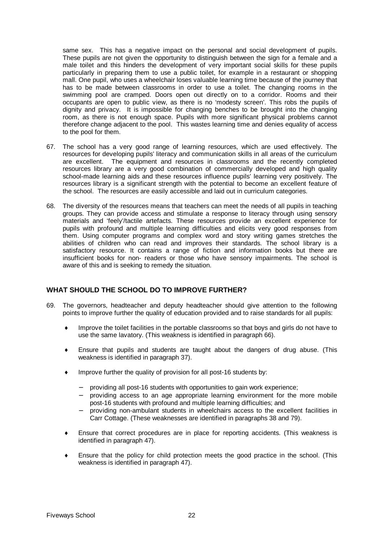same sex. This has a negative impact on the personal and social development of pupils. These pupils are not given the opportunity to distinguish between the sign for a female and a male toilet and this hinders the development of very important social skills for these pupils particularly in preparing them to use a public toilet, for example in a restaurant or shopping mall. One pupil, who uses a wheelchair loses valuable learning time because of the journey that has to be made between classrooms in order to use a toilet. The changing rooms in the swimming pool are cramped. Doors open out directly on to a corridor. Rooms and their occupants are open to public view, as there is no 'modesty screen'. This robs the pupils of dignity and privacy. It is impossible for changing benches to be brought into the changing room, as there is not enough space. Pupils with more significant physical problems cannot therefore change adjacent to the pool. This wastes learning time and denies equality of access to the pool for them.

- 67. The school has a very good range of learning resources, which are used effectively. The resources for developing pupils' literacy and communication skills in all areas of the curriculum are excellent. The equipment and resources in classrooms and the recently completed resources library are a very good combination of commercially developed and high quality school-made learning aids and these resources influence pupils' learning very positively. The resources library is a significant strength with the potential to become an excellent feature of the school. The resources are easily accessible and laid out in curriculum categories.
- 68. The diversity of the resources means that teachers can meet the needs of all pupils in teaching groups. They can provide access and stimulate a response to literacy through using sensory materials and 'feely'/tactile artefacts. These resources provide an excellent experience for pupils with profound and multiple learning difficulties and elicits very good responses from them. Using computer programs and complex word and story writing games stretches the abilities of children who can read and improves their standards. The school library is a satisfactory resource. It contains a range of fiction and information books but there are insufficient books for non- readers or those who have sensory impairments. The school is aware of this and is seeking to remedy the situation.

# **WHAT SHOULD THE SCHOOL DO TO IMPROVE FURTHER?**

- 69. The governors, headteacher and deputy headteacher should give attention to the following points to improve further the quality of education provided and to raise standards for all pupils:
	- Improve the toilet facilities in the portable classrooms so that boys and girls do not have to use the same lavatory. (This weakness is identified in paragraph 66).
	- ♦ Ensure that pupils and students are taught about the dangers of drug abuse. (This weakness is identified in paragraph 37).
	- ♦ Improve further the quality of provision for all post-16 students by:
		- providing all post-16 students with opportunities to gain work experience;
		- − providing access to an age appropriate learning environment for the more mobile post-16 students with profound and multiple learning difficulties; and
		- providing non-ambulant students in wheelchairs access to the excellent facilities in Carr Cottage. (These weaknesses are identified in paragraphs 38 and 79).
	- Ensure that correct procedures are in place for reporting accidents. (This weakness is identified in paragraph 47).
	- Ensure that the policy for child protection meets the good practice in the school. (This weakness is identified in paragraph 47).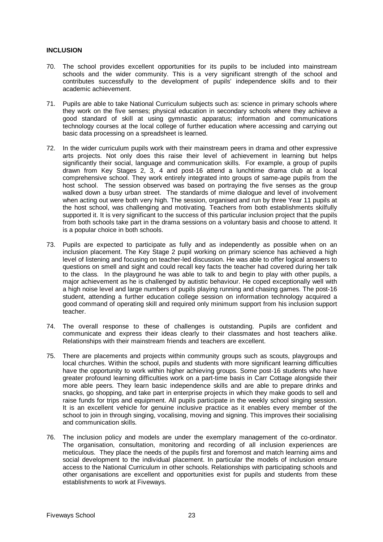### **INCLUSION**

- 70. The school provides excellent opportunities for its pupils to be included into mainstream schools and the wider community. This is a very significant strength of the school and contributes successfully to the development of pupils' independence skills and to their academic achievement.
- 71. Pupils are able to take National Curriculum subjects such as: science in primary schools where they work on the five senses; physical education in secondary schools where they achieve a good standard of skill at using gymnastic apparatus; information and communications technology courses at the local college of further education where accessing and carrying out basic data processing on a spreadsheet is learned.
- 72. In the wider curriculum pupils work with their mainstream peers in drama and other expressive arts projects. Not only does this raise their level of achievement in learning but helps significantly their social, language and communication skills. For example, a group of pupils drawn from Key Stages 2, 3, 4 and post-16 attend a lunchtime drama club at a local comprehensive school. They work entirely integrated into groups of same-age pupils from the host school. The session observed was based on portraying the five senses as the group walked down a busy urban street. The standards of mime dialogue and level of involvement when acting out were both very high. The session, organised and run by three Year 11 pupils at the host school, was challenging and motivating. Teachers from both establishments skilfully supported it. It is very significant to the success of this particular inclusion project that the pupils from both schools take part in the drama sessions on a voluntary basis and choose to attend. It is a popular choice in both schools.
- 73. Pupils are expected to participate as fully and as independently as possible when on an inclusion placement. The Key Stage 2 pupil working on primary science has achieved a high level of listening and focusing on teacher-led discussion. He was able to offer logical answers to questions on smell and sight and could recall key facts the teacher had covered during her talk to the class. In the playground he was able to talk to and begin to play with other pupils, a major achievement as he is challenged by autistic behaviour. He coped exceptionally well with a high noise level and large numbers of pupils playing running and chasing games. The post-16 student, attending a further education college session on information technology acquired a good command of operating skill and required only minimum support from his inclusion support teacher.
- 74. The overall response to these of challenges is outstanding. Pupils are confident and communicate and express their ideas clearly to their classmates and host teachers alike. Relationships with their mainstream friends and teachers are excellent.
- 75. There are placements and projects within community groups such as scouts, playgroups and local churches. Within the school, pupils and students with more significant learning difficulties have the opportunity to work within higher achieving groups. Some post-16 students who have greater profound learning difficulties work on a part-time basis in Carr Cottage alongside their more able peers. They learn basic independence skills and are able to prepare drinks and snacks, go shopping, and take part in enterprise projects in which they make goods to sell and raise funds for trips and equipment. All pupils participate in the weekly school singing session. It is an excellent vehicle for genuine inclusive practice as it enables every member of the school to join in through singing, vocalising, moving and signing. This improves their socialising and communication skills.
- 76. The inclusion policy and models are under the exemplary management of the co-ordinator. The organisation, consultation, monitoring and recording of all inclusion experiences are meticulous. They place the needs of the pupils first and foremost and match learning aims and social development to the individual placement. In particular the models of inclusion ensure access to the National Curriculum in other schools. Relationships with participating schools and other organisations are excellent and opportunities exist for pupils and students from these establishments to work at Fiveways.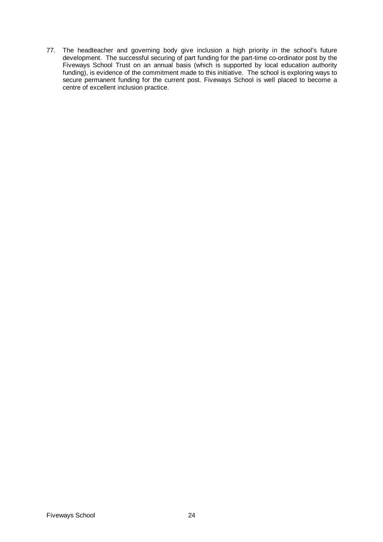77. The headteacher and governing body give inclusion a high priority in the school's future development. The successful securing of part funding for the part-time co-ordinator post by the Fiveways School Trust on an annual basis (which is supported by local education authority funding), is evidence of the commitment made to this initiative. The school is exploring ways to secure permanent funding for the current post. Fiveways School is well placed to become a centre of excellent inclusion practice.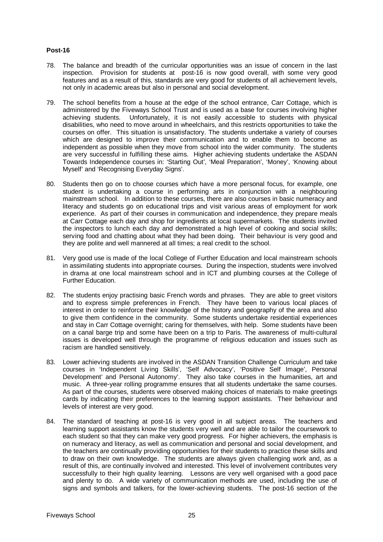# **Post-16**

- 78. The balance and breadth of the curricular opportunities was an issue of concern in the last inspection. Provision for students at post-16 is now good overall, with some very good features and as a result of this, standards are very good for students of all achievement levels, not only in academic areas but also in personal and social development.
- 79. The school benefits from a house at the edge of the school entrance, Carr Cottage, which is administered by the Fiveways School Trust and is used as a base for courses involving higher achieving students. Unfortunately, it is not easily accessible to students with physical disabilities, who need to move around in wheelchairs, and this restricts opportunities to take the courses on offer. This situation is unsatisfactory. The students undertake a variety of courses which are designed to improve their communication and to enable them to become as independent as possible when they move from school into the wider community. The students are very successful in fulfilling these aims. Higher achieving students undertake the ASDAN Towards Independence courses in: 'Starting Out', 'Meal Preparation', 'Money', 'Knowing about Myself' and 'Recognising Everyday Signs'.
- 80. Students then go on to choose courses which have a more personal focus, for example, one student is undertaking a course in performing arts in conjunction with a neighbouring mainstream school. In addition to these courses, there are also courses in basic numeracy and literacy and students go on educational trips and visit various areas of employment for work experience. As part of their courses in communication and independence, they prepare meals at Carr Cottage each day and shop for ingredients at local supermarkets. The students invited the inspectors to lunch each day and demonstrated a high level of cooking and social skills; serving food and chatting about what they had been doing. Their behaviour is very good and they are polite and well mannered at all times; a real credit to the school.
- 81. Very good use is made of the local College of Further Education and local mainstream schools in assimilating students into appropriate courses. During the inspection, students were involved in drama at one local mainstream school and in ICT and plumbing courses at the College of Further Education.
- 82. The students enjoy practising basic French words and phrases. They are able to greet visitors and to express simple preferences in French. They have been to various local places of interest in order to reinforce their knowledge of the history and geography of the area and also to give them confidence in the community. Some students undertake residential experiences and stay in Carr Cottage overnight; caring for themselves, with help. Some students have been on a canal barge trip and some have been on a trip to Paris. The awareness of multi-cultural issues is developed well through the programme of religious education and issues such as racism are handled sensitively.
- 83. Lower achieving students are involved in the ASDAN Transition Challenge Curriculum and take courses in 'Independent Living Skills', 'Self Advocacy', 'Positive Self Image', Personal Development' and Personal Autonomy'. They also take courses in the humanities, art and music. A three-year rolling programme ensures that all students undertake the same courses. As part of the courses, students were observed making choices of materials to make greetings cards by indicating their preferences to the learning support assistants. Their behaviour and levels of interest are very good.
- 84. The standard of teaching at post-16 is very good in all subject areas. The teachers and learning support assistants know the students very well and are able to tailor the coursework to each student so that they can make very good progress. For higher achievers, the emphasis is on numeracy and literacy, as well as communication and personal and social development, and the teachers are continually providing opportunities for their students to practice these skills and to draw on their own knowledge. The students are always given challenging work and, as a result of this, are continually involved and interested. This level of involvement contributes very successfully to their high quality learning. Lessons are very well organised with a good pace and plenty to do. A wide variety of communication methods are used, including the use of signs and symbols and talkers, for the lower-achieving students. The post-16 section of the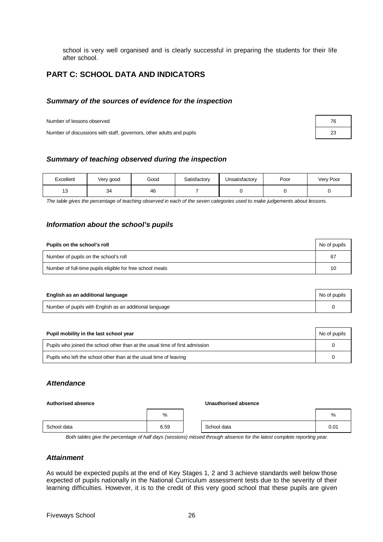school is very well organised and is clearly successful in preparing the students for their life after school.

# **PART C: SCHOOL DATA AND INDICATORS**

# *Summary of the sources of evidence for the inspection*

Number of lessons observed **76** and 76 and 76 and 76 and 76 and 76 and 76 and 76 and 76 and 76 and 76 and 76 and 76 and 76 and 76 and 76 and 76 and 76 and 76 and 76 and 76 and 76 and 76 and 76 and 76 and 76 and 76 and 76 a

Number of discussions with staff, governors, other adults and pupils 23

# *Summary of teaching observed during the inspection*

| Excellent | Very good | Good | Satisfactory | Unsatisfactory | Poor | Very Poor |
|-----------|-----------|------|--------------|----------------|------|-----------|
| ں ו       |           | 46   |              |                |      |           |

*The table gives the percentage of teaching observed in each of the seven categories used to make judgements about lessons.*

# *Information about the school's pupils*

| Pupils on the school's roll                               | No of pupils |
|-----------------------------------------------------------|--------------|
| Number of pupils on the school's roll                     | 67           |
| Number of full-time pupils eligible for free school meals | 10           |

| English as an additional language                       | No of pupils |
|---------------------------------------------------------|--------------|
| Number of pupils with English as an additional language |              |

| Pupil mobility in the last school year                                       | No of pupils |
|------------------------------------------------------------------------------|--------------|
| Pupils who joined the school other than at the usual time of first admission |              |
| Pupils who left the school other than at the usual time of leaving           |              |

# *Attendance*

#### **Authorised absence Unauthorised absence**

|             | %    |             | %    |
|-------------|------|-------------|------|
| School data | 6.59 | School data | 0.01 |

*Both tables give the percentage of half days (sessions) missed through absence for the latest complete reporting year.*

# *Attainment*

As would be expected pupils at the end of Key Stages 1, 2 and 3 achieve standards well below those expected of pupils nationally in the National Curriculum assessment tests due to the severity of their learning difficulties. However, it is to the credit of this very good school that these pupils are given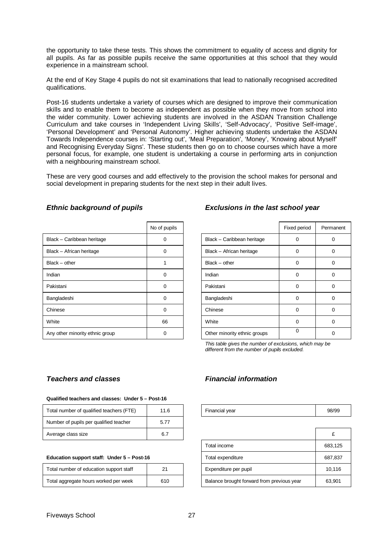the opportunity to take these tests. This shows the commitment to equality of access and dignity for all pupils. As far as possible pupils receive the same opportunities at this school that they would experience in a mainstream school.

At the end of Key Stage 4 pupils do not sit examinations that lead to nationally recognised accredited qualifications.

Post-16 students undertake a variety of courses which are designed to improve their communication skills and to enable them to become as independent as possible when they move from school into the wider community. Lower achieving students are involved in the ASDAN Transition Challenge Curriculum and take courses in 'Independent Living Skills', 'Self-Advocacy', 'Positive Self-image', 'Personal Development' and 'Personal Autonomy'. Higher achieving students undertake the ASDAN Towards Independence courses in: 'Starting out', 'Meal Preparation', 'Money', 'Knowing about Myself' and Recognising Everyday Signs'. These students then go on to choose courses which have a more personal focus, for example, one student is undertaking a course in performing arts in conjunction with a neighbouring mainstream school.

These are very good courses and add effectively to the provision the school makes for personal and social development in preparing students for the next step in their adult lives.

|                                 | No of pupils |                              | Fixed period | Perma |
|---------------------------------|--------------|------------------------------|--------------|-------|
| Black - Caribbean heritage      | O            | Black - Caribbean heritage   | $\mathbf{0}$ | 0     |
| Black - African heritage        | $\Omega$     | Black - African heritage     | 0            | 0     |
| $Black - other$                 |              | $Black - other$              | 0            | 0     |
| Indian                          | $\Omega$     | Indian                       | $\Omega$     | 0     |
| Pakistani                       | $\Omega$     | Pakistani                    | 0            | 0     |
| Bangladeshi                     | $\Omega$     | Bangladeshi                  | 0            | 0     |
| Chinese                         | $\Omega$     | Chinese                      | 0            | 0     |
| White                           | 66           | White                        | 0            | 0     |
| Any other minority ethnic group | 0            | Other minority ethnic groups | 0            | 0     |

# *Ethnic background of pupils Exclusions in the last school year*

| No of pupils |                              | Fixed period | Permanent |
|--------------|------------------------------|--------------|-----------|
|              | Black - Caribbean heritage   | 0            | O         |
| O            | Black - African heritage     | 0            | 0         |
|              | $Black - other$              | $\Omega$     | 0         |
| O            | Indian                       | $\Omega$     | 0         |
| O            | Pakistani                    | $\Omega$     | 0         |
| U            | Bangladeshi                  | 0            | O         |
| O            | Chinese                      | $\Omega$     | ∩         |
| 66           | White                        | ∩            | O         |
|              | Other minority ethnic groups | $\Omega$     |           |

*This table gives the number of exclusions, which may be different from the number of pupils excluded.*

# *Teachers and classes Financial information*

#### **Qualified teachers and classes: Under 5 – Post-16**

| Total number of qualified teachers (FTE) | 11.6 | Financial year | 98/99 |
|------------------------------------------|------|----------------|-------|
| Number of pupils per qualified teacher   | 5.77 |                |       |
| Average class size                       | 6.7  |                |       |

#### **Education support staff: Under 5 - Post-16**

| Total number of education support staff | 21  |
|-----------------------------------------|-----|
| Total aggregate hours worked per week   | 610 |

| Financial year |  |
|----------------|--|
|                |  |

| Average class size                         | 6.7 |  |                                            |         |
|--------------------------------------------|-----|--|--------------------------------------------|---------|
|                                            |     |  | Total income                               | 683.125 |
| Education support staff: Under 5 - Post-16 |     |  | Total expenditure                          | 687.837 |
| Total number of education support staff    | 21  |  | Expenditure per pupil                      | 10.116  |
| Total aggregate hours worked per week      | 610 |  | Balance brought forward from previous year | 63.901  |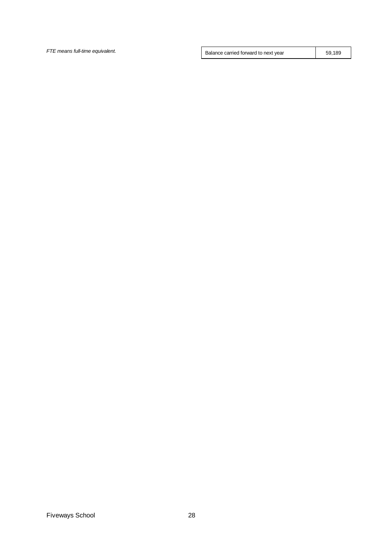**FTE means full-time equivalent.** Summary and the set of the Balance carried forward to next year 59,189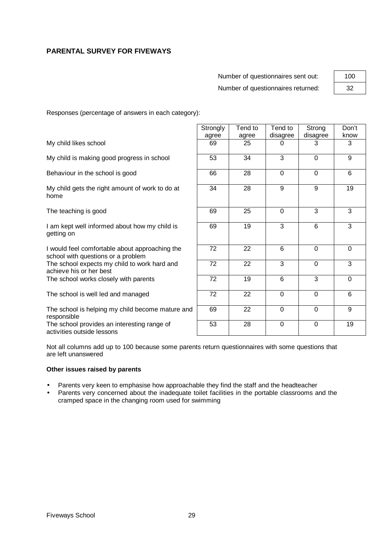# **PARENTAL SURVEY FOR FIVEWAYS**

Number of questionnaires sent out: Number of questionnaires returned:

| 100 |  |
|-----|--|
| 32  |  |

Responses (percentage of answers in each category):

|                                                                                      | Strongly | Tend to | Tend to        | Strong      | Don't          |
|--------------------------------------------------------------------------------------|----------|---------|----------------|-------------|----------------|
|                                                                                      | agree    | agree   | disagree       | disagree    | know           |
| My child likes school                                                                | 69       | 25      | 0              | 3           | 3              |
| My child is making good progress in school                                           | 53       | 34      | 3              | $\mathbf 0$ | 9              |
| Behaviour in the school is good                                                      | 66       | 28      | $\mathbf 0$    | $\mathbf 0$ | $6\phantom{1}$ |
| My child gets the right amount of work to do at<br>home                              | 34       | 28      | 9              | 9           | 19             |
| The teaching is good                                                                 | 69       | 25      | $\Omega$       | 3           | 3              |
| I am kept well informed about how my child is<br>getting on                          | 69       | 19      | 3              | 6           | 3              |
| I would feel comfortable about approaching the<br>school with questions or a problem | 72       | 22      | $6\phantom{1}$ | $\Omega$    | $\mathbf 0$    |
| The school expects my child to work hard and<br>achieve his or her best              | 72       | 22      | 3              | $\mathbf 0$ | 3              |
| The school works closely with parents                                                | 72       | 19      | 6              | 3           | $\Omega$       |
| The school is well led and managed                                                   | 72       | 22      | $\mathbf 0$    | $\mathbf 0$ | 6              |
| The school is helping my child become mature and<br>responsible                      | 69       | 22      | $\mathbf 0$    | $\mathbf 0$ | 9              |
| The school provides an interesting range of<br>activities outside lessons            | 53       | 28      | $\mathbf 0$    | $\Omega$    | 19             |

Not all columns add up to 100 because some parents return questionnaires with some questions that are left unanswered

#### **Other issues raised by parents**

- Parents very keen to emphasise how approachable they find the staff and the headteacher
- Parents very concerned about the inadequate toilet facilities in the portable classrooms and the cramped space in the changing room used for swimming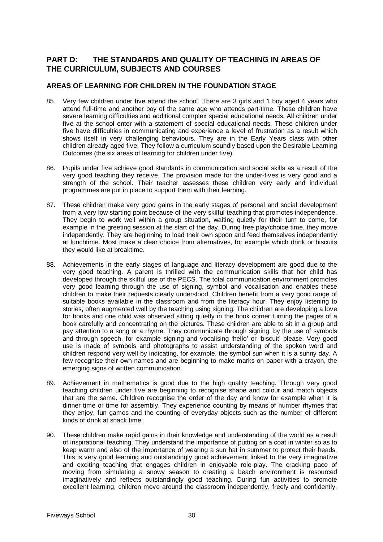# **PART D: THE STANDARDS AND QUALITY OF TEACHING IN AREAS OF THE CURRICULUM, SUBJECTS AND COURSES**

# **AREAS OF LEARNING FOR CHILDREN IN THE FOUNDATION STAGE**

- 85. Very few children under five attend the school. There are 3 girls and 1 boy aged 4 years who attend full-time and another boy of the same age who attends part-time. These children have severe learning difficulties and additional complex special educational needs. All children under five at the school enter with a statement of special educational needs. These children under five have difficulties in communicating and experience a level of frustration as a result which shows itself in very challenging behaviours. They are in the Early Years class with other children already aged five. They follow a curriculum soundly based upon the Desirable Learning Outcomes (the six areas of learning for children under five).
- 86. Pupils under five achieve good standards in communication and social skills as a result of the very good teaching they receive. The provision made for the under-fives is very good and a strength of the school. Their teacher assesses these children very early and individual programmes are put in place to support them with their learning.
- 87. These children make very good gains in the early stages of personal and social development from a very low starting point because of the very skilful teaching that promotes independence. They begin to work well within a group situation, waiting quietly for their turn to come, for example in the greeting session at the start of the day. During free play/choice time, they move independently. They are beginning to load their own spoon and feed themselves independently at lunchtime. Most make a clear choice from alternatives, for example which drink or biscuits they would like at breaktime.
- 88. Achievements in the early stages of language and literacy development are good due to the very good teaching. A parent is thrilled with the communication skills that her child has developed through the skilful use of the PECS. The total communication environment promotes very good learning through the use of signing, symbol and vocalisation and enables these children to make their requests clearly understood. Children benefit from a very good range of suitable books available in the classroom and from the literacy hour. They enjoy listening to stories, often augmented well by the teaching using signing. The children are developing a love for books and one child was observed sitting quietly in the book corner turning the pages of a book carefully and concentrating on the pictures. These children are able to sit in a group and pay attention to a song or a rhyme. They communicate through signing, by the use of symbols and through speech, for example signing and vocalising 'hello' or 'biscuit' please. Very good use is made of symbols and photographs to assist understanding of the spoken word and children respond very well by indicating, for example, the symbol sun when it is a sunny day. A few recognise their own names and are beginning to make marks on paper with a crayon, the emerging signs of written communication.
- 89. Achievement in mathematics is good due to the high quality teaching. Through very good teaching children under five are beginning to recognise shape and colour and match objects that are the same. Children recognise the order of the day and know for example when it is dinner time or time for assembly. They experience counting by means of number rhymes that they enjoy, fun games and the counting of everyday objects such as the number of different kinds of drink at snack time.
- 90. These children make rapid gains in their knowledge and understanding of the world as a result of inspirational teaching. They understand the importance of putting on a coat in winter so as to keep warm and also of the importance of wearing a sun hat in summer to protect their heads. This is very good learning and outstandingly good achievement linked to the very imaginative and exciting teaching that engages children in enjoyable role-play. The cracking pace of moving from simulating a snowy season to creating a beach environment is resourced imaginatively and reflects outstandingly good teaching. During fun activities to promote excellent learning, children move around the classroom independently, freely and confidently.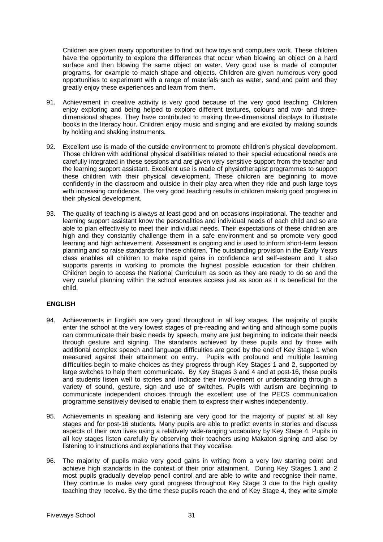Children are given many opportunities to find out how toys and computers work. These children have the opportunity to explore the differences that occur when blowing an object on a hard surface and then blowing the same object on water. Very good use is made of computer programs, for example to match shape and objects. Children are given numerous very good opportunities to experiment with a range of materials such as water, sand and paint and they greatly enjoy these experiences and learn from them.

- 91. Achievement in creative activity is very good because of the very good teaching. Children enjoy exploring and being helped to explore different textures, colours and two- and threedimensional shapes. They have contributed to making three-dimensional displays to illustrate books in the literacy hour. Children enjoy music and singing and are excited by making sounds by holding and shaking instruments.
- 92. Excellent use is made of the outside environment to promote children's physical development. Those children with additional physical disabilities related to their special educational needs are carefully integrated in these sessions and are given very sensitive support from the teacher and the learning support assistant. Excellent use is made of physiotherapist programmes to support these children with their physical development. These children are beginning to move confidently in the classroom and outside in their play area when they ride and push large toys with increasing confidence. The very good teaching results in children making good progress in their physical development.
- 93. The quality of teaching is always at least good and on occasions inspirational. The teacher and learning support assistant know the personalities and individual needs of each child and so are able to plan effectively to meet their individual needs. Their expectations of these children are high and they constantly challenge them in a safe environment and so promote very good learning and high achievement. Assessment is ongoing and is used to inform short-term lesson planning and so raise standards for these children. The outstanding provision in the Early Years class enables all children to make rapid gains in confidence and self-esteem and it also supports parents in working to promote the highest possible education for their children. Children begin to access the National Curriculum as soon as they are ready to do so and the very careful planning within the school ensures access just as soon as it is beneficial for the child.

# **ENGLISH**

- 94. Achievements in English are very good throughout in all key stages. The majority of pupils enter the school at the very lowest stages of pre-reading and writing and although some pupils can communicate their basic needs by speech, many are just beginning to indicate their needs through gesture and signing. The standards achieved by these pupils and by those with additional complex speech and language difficulties are good by the end of Key Stage 1 when measured against their attainment on entry. Pupils with profound and multiple learning difficulties begin to make choices as they progress through Key Stages 1 and 2, supported by large switches to help them communicate. By Key Stages 3 and 4 and at post-16, these pupils and students listen well to stories and indicate their involvement or understanding through a variety of sound, gesture, sign and use of switches. Pupils with autism are beginning to communicate independent choices through the excellent use of the PECS communication programme sensitively devised to enable them to express their wishes independently.
- 95. Achievements in speaking and listening are very good for the majority of pupils' at all key stages and for post-16 students. Many pupils are able to predict events in stories and discuss aspects of their own lives using a relatively wide-ranging vocabulary by Key Stage 4. Pupils in all key stages listen carefully by observing their teachers using Makaton signing and also by listening to instructions and explanations that they vocalise.
- 96. The majority of pupils make very good gains in writing from a very low starting point and achieve high standards in the context of their prior attainment. During Key Stages 1 and 2 most pupils gradually develop pencil control and are able to write and recognise their name. They continue to make very good progress throughout Key Stage 3 due to the high quality teaching they receive. By the time these pupils reach the end of Key Stage 4, they write simple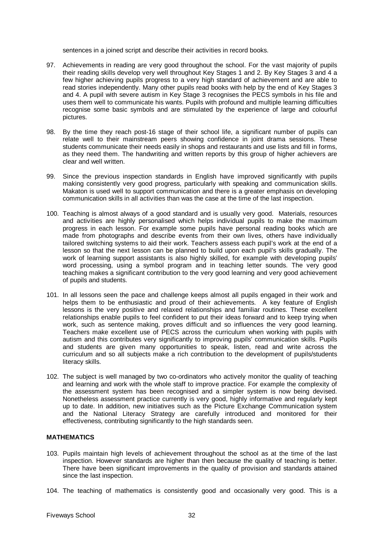sentences in a joined script and describe their activities in record books.

- 97. Achievements in reading are very good throughout the school. For the vast majority of pupils their reading skills develop very well throughout Key Stages 1 and 2. By Key Stages 3 and 4 a few higher achieving pupils progress to a very high standard of achievement and are able to read stories independently. Many other pupils read books with help by the end of Key Stages 3 and 4. A pupil with severe autism in Key Stage 3 recognises the PECS symbols in his file and uses them well to communicate his wants. Pupils with profound and multiple learning difficulties recognise some basic symbols and are stimulated by the experience of large and colourful pictures.
- 98. By the time they reach post-16 stage of their school life, a significant number of pupils can relate well to their mainstream peers showing confidence in joint drama sessions. These students communicate their needs easily in shops and restaurants and use lists and fill in forms, as they need them. The handwriting and written reports by this group of higher achievers are clear and well written.
- 99. Since the previous inspection standards in English have improved significantly with pupils making consistently very good progress, particularly with speaking and communication skills. Makaton is used well to support communication and there is a greater emphasis on developing communication skills in all activities than was the case at the time of the last inspection.
- 100. Teaching is almost always of a good standard and is usually very good. Materials, resources and activities are highly personalised which helps individual pupils to make the maximum progress in each lesson. For example some pupils have personal reading books which are made from photographs and describe events from their own lives, others have individually tailored switching systems to aid their work. Teachers assess each pupil's work at the end of a lesson so that the next lesson can be planned to build upon each pupil's skills gradually. The work of learning support assistants is also highly skilled, for example with developing pupils' word processing, using a symbol program and in teaching letter sounds. The very good teaching makes a significant contribution to the very good learning and very good achievement of pupils and students.
- 101. In all lessons seen the pace and challenge keeps almost all pupils engaged in their work and helps them to be enthusiastic and proud of their achievements. A key feature of English lessons is the very positive and relaxed relationships and familiar routines. These excellent relationships enable pupils to feel confident to put their ideas forward and to keep trying when work, such as sentence making, proves difficult and so influences the very good learning. Teachers make excellent use of PECS across the curriculum when working with pupils with autism and this contributes very significantly to improving pupils' communication skills. Pupils and students are given many opportunities to speak, listen, read and write across the curriculum and so all subjects make a rich contribution to the development of pupils/students literacy skills.
- 102. The subject is well managed by two co-ordinators who actively monitor the quality of teaching and learning and work with the whole staff to improve practice. For example the complexity of the assessment system has been recognised and a simpler system is now being devised. Nonetheless assessment practice currently is very good, highly informative and regularly kept up to date. In addition, new initiatives such as the Picture Exchange Communication system and the National Literacy Strategy are carefully introduced and monitored for their effectiveness, contributing significantly to the high standards seen.

# **MATHEMATICS**

- 103. Pupils maintain high levels of achievement throughout the school as at the time of the last inspection. However standards are higher than then because the quality of teaching is better. There have been significant improvements in the quality of provision and standards attained since the last inspection.
- 104. The teaching of mathematics is consistently good and occasionally very good. This is a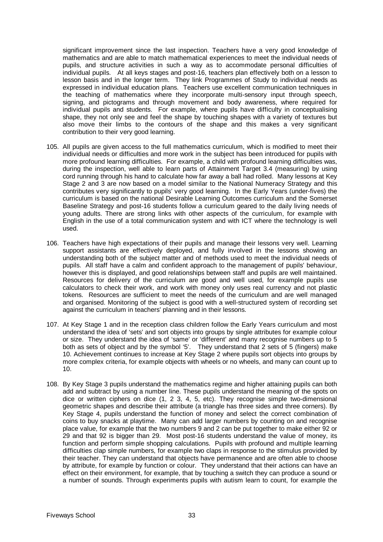significant improvement since the last inspection. Teachers have a very good knowledge of mathematics and are able to match mathematical experiences to meet the individual needs of pupils, and structure activities in such a way as to accommodate personal difficulties of individual pupils. At all keys stages and post-16, teachers plan effectively both on a lesson to lesson basis and in the longer term. They link Programmes of Study to individual needs as expressed in individual education plans. Teachers use excellent communication techniques in the teaching of mathematics where they incorporate multi-sensory input through speech, signing, and pictograms and through movement and body awareness, where required for individual pupils and students. For example, where pupils have difficulty in conceptualising shape, they not only see and feel the shape by touching shapes with a variety of textures but also move their limbs to the contours of the shape and this makes a very significant contribution to their very good learning.

- 105. All pupils are given access to the full mathematics curriculum, which is modified to meet their individual needs or difficulties and more work in the subject has been introduced for pupils with more profound learning difficulties. For example, a child with profound learning difficulties was, during the inspection, well able to learn parts of Attainment Target 3.4 (measuring) by using cord running through his hand to calculate how far away a ball had rolled. Many lessons at Key Stage 2 and 3 are now based on a model similar to the National Numeracy Strategy and this contributes very significantly to pupils' very good learning. In the Early Years (under-fives) the curriculum is based on the national Desirable Learning Outcomes curriculum and the Somerset Baseline Strategy and post-16 students follow a curriculum geared to the daily living needs of young adults. There are strong links with other aspects of the curriculum, for example with English in the use of a total communication system and with ICT where the technology is well used.
- 106. Teachers have high expectations of their pupils and manage their lessons very well. Learning support assistants are effectively deployed, and fully involved in the lessons showing an understanding both of the subject matter and of methods used to meet the individual needs of pupils. All staff have a calm and confident approach to the management of pupils' behaviour, however this is displayed, and good relationships between staff and pupils are well maintained. Resources for delivery of the curriculum are good and well used, for example pupils use calculators to check their work, and work with money only uses real currency and not plastic tokens. Resources are sufficient to meet the needs of the curriculum and are well managed and organised. Monitoring of the subject is good with a well-structured system of recording set against the curriculum in teachers' planning and in their lessons.
- 107. At Key Stage 1 and in the reception class children follow the Early Years curriculum and most understand the idea of 'sets' and sort objects into groups by single attributes for example colour or size. They understand the idea of 'same' or 'different' and many recognise numbers up to 5 both as sets of object and by the symbol '5'. They understand that 2 sets of 5 (fingers) make 10. Achievement continues to increase at Key Stage 2 where pupils sort objects into groups by more complex criteria, for example objects with wheels or no wheels, and many can count up to 10.
- 108. By Key Stage 3 pupils understand the mathematics regime and higher attaining pupils can both add and subtract by using a number line. These pupils understand the meaning of the spots on dice or written ciphers on dice (1, 2 3, 4, 5, etc). They recognise simple two-dimensional geometric shapes and describe their attribute (a triangle has three sides and three corners). By Key Stage 4, pupils understand the function of money and select the correct combination of coins to buy snacks at playtime. Many can add larger numbers by counting on and recognise place value, for example that the two numbers 9 and 2 can be put together to make either 92 or 29 and that 92 is bigger than 29. Most post-16 students understand the value of money, its function and perform simple shopping calculations. Pupils with profound and multiple learning difficulties clap simple numbers, for example two claps in response to the stimulus provided by their teacher. They can understand that objects have permanence and are often able to choose by attribute, for example by function or colour. They understand that their actions can have an effect on their environment, for example, that by touching a switch they can produce a sound or a number of sounds. Through experiments pupils with autism learn to count, for example the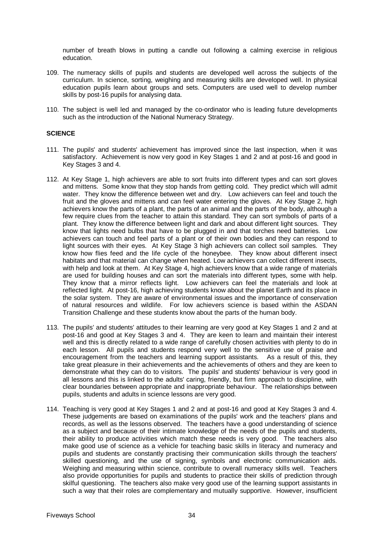number of breath blows in putting a candle out following a calming exercise in religious education.

- 109. The numeracy skills of pupils and students are developed well across the subjects of the curriculum. In science, sorting, weighing and measuring skills are developed well. In physical education pupils learn about groups and sets. Computers are used well to develop number skills by post-16 pupils for analysing data.
- 110. The subject is well led and managed by the co-ordinator who is leading future developments such as the introduction of the National Numeracy Strategy.

### **SCIENCE**

- 111. The pupils' and students' achievement has improved since the last inspection, when it was satisfactory. Achievement is now very good in Key Stages 1 and 2 and at post-16 and good in Key Stages 3 and 4.
- 112. At Key Stage 1, high achievers are able to sort fruits into different types and can sort gloves and mittens. Some know that they stop hands from getting cold. They predict which will admit water. They know the difference between wet and dry. Low achievers can feel and touch the fruit and the gloves and mittens and can feel water entering the gloves. At Key Stage 2, high achievers know the parts of a plant, the parts of an animal and the parts of the body, although a few require clues from the teacher to attain this standard. They can sort symbols of parts of a plant. They know the difference between light and dark and about different light sources. They know that lights need bulbs that have to be plugged in and that torches need batteries. Low achievers can touch and feel parts of a plant or of their own bodies and they can respond to light sources with their eyes. At Key Stage 3 high achievers can collect soil samples. They know how flies feed and the life cycle of the honeybee. They know about different insect habitats and that material can change when heated. Low achievers can collect different insects, with help and look at them. At Key Stage 4, high achievers know that a wide range of materials are used for building houses and can sort the materials into different types, some with help. They know that a mirror reflects light. Low achievers can feel the materials and look at reflected light. At post-16, high achieving students know about the planet Earth and its place in the solar system. They are aware of environmental issues and the importance of conservation of natural resources and wildlife. For low achievers science is based within the ASDAN Transition Challenge and these students know about the parts of the human body.
- 113. The pupils' and students' attitudes to their learning are very good at Key Stages 1 and 2 and at post-16 and good at Key Stages 3 and 4. They are keen to learn and maintain their interest well and this is directly related to a wide range of carefully chosen activities with plenty to do in each lesson. All pupils and students respond very well to the sensitive use of praise and encouragement from the teachers and learning support assistants. As a result of this, they take great pleasure in their achievements and the achievements of others and they are keen to demonstrate what they can do to visitors. The pupils' and students' behaviour is very good in all lessons and this is linked to the adults' caring, friendly, but firm approach to discipline, with clear boundaries between appropriate and inappropriate behaviour. The relationships between pupils, students and adults in science lessons are very good.
- 114. Teaching is very good at Key Stages 1 and 2 and at post-16 and good at Key Stages 3 and 4. These judgements are based on examinations of the pupils' work and the teachers' plans and records, as well as the lessons observed. The teachers have a good understanding of science as a subject and because of their intimate knowledge of the needs of the pupils and students, their ability to produce activities which match these needs is very good. The teachers also make good use of science as a vehicle for teaching basic skills in literacy and numeracy and pupils and students are constantly practising their communication skills through the teachers' skilled questioning, and the use of signing, symbols and electronic communication aids. Weighing and measuring within science, contribute to overall numeracy skills well. Teachers also provide opportunities for pupils and students to practice their skills of prediction through skilful questioning. The teachers also make very good use of the learning support assistants in such a way that their roles are complementary and mutually supportive. However, insufficient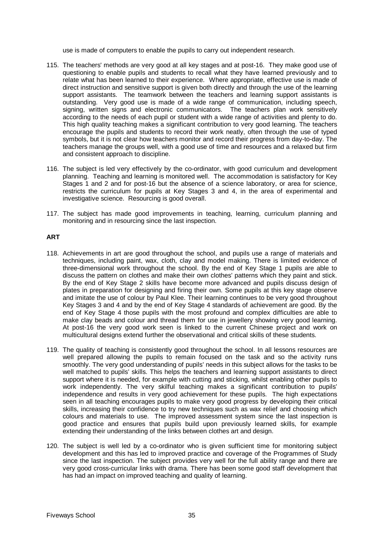use is made of computers to enable the pupils to carry out independent research.

- 115. The teachers' methods are very good at all key stages and at post-16. They make good use of questioning to enable pupils and students to recall what they have learned previously and to relate what has been learned to their experience. Where appropriate, effective use is made of direct instruction and sensitive support is given both directly and through the use of the learning support assistants. The teamwork between the teachers and learning support assistants is outstanding. Very good use is made of a wide range of communication, including speech, signing, written signs and electronic communicators. The teachers plan work sensitively according to the needs of each pupil or student with a wide range of activities and plenty to do. This high quality teaching makes a significant contribution to very good learning. The teachers encourage the pupils and students to record their work neatly, often through the use of typed symbols, but it is not clear how teachers monitor and record their progress from day-to-day. The teachers manage the groups well, with a good use of time and resources and a relaxed but firm and consistent approach to discipline.
- 116. The subject is led very effectively by the co-ordinator, with good curriculum and development planning. Teaching and learning is monitored well. The accommodation is satisfactory for Key Stages 1 and 2 and for post-16 but the absence of a science laboratory, or area for science, restricts the curriculum for pupils at Key Stages 3 and 4, in the area of experimental and investigative science. Resourcing is good overall.
- 117. The subject has made good improvements in teaching, learning, curriculum planning and monitoring and in resourcing since the last inspection.

#### **ART**

- 118. Achievements in art are good throughout the school, and pupils use a range of materials and techniques, including paint, wax, cloth, clay and model making. There is limited evidence of three-dimensional work throughout the school. By the end of Key Stage 1 pupils are able to discuss the pattern on clothes and make their own clothes' patterns which they paint and stick. By the end of Key Stage 2 skills have become more advanced and pupils discuss design of plates in preparation for designing and firing their own. Some pupils at this key stage observe and imitate the use of colour by Paul Klee. Their learning continues to be very good throughout Key Stages 3 and 4 and by the end of Key Stage 4 standards of achievement are good. By the end of Key Stage 4 those pupils with the most profound and complex difficulties are able to make clay beads and colour and thread them for use in jewellery showing very good learning. At post-16 the very good work seen is linked to the current Chinese project and work on multicultural designs extend further the observational and critical skills of these students.
- 119. The quality of teaching is consistently good throughout the school. In all lessons resources are well prepared allowing the pupils to remain focused on the task and so the activity runs smoothly. The very good understanding of pupils' needs in this subject allows for the tasks to be well matched to pupils' skills. This helps the teachers and learning support assistants to direct support where it is needed, for example with cutting and sticking, whilst enabling other pupils to work independently. The very skilful teaching makes a significant contribution to pupils' independence and results in very good achievement for these pupils. The high expectations seen in all teaching encourages pupils to make very good progress by developing their critical skills, increasing their confidence to try new techniques such as wax relief and choosing which colours and materials to use. The improved assessment system since the last inspection is good practice and ensures that pupils build upon previously learned skills, for example extending their understanding of the links between clothes art and design.
- 120. The subject is well led by a co-ordinator who is given sufficient time for monitoring subject development and this has led to improved practice and coverage of the Programmes of Study since the last inspection. The subject provides very well for the full ability range and there are very good cross-curricular links with drama. There has been some good staff development that has had an impact on improved teaching and quality of learning.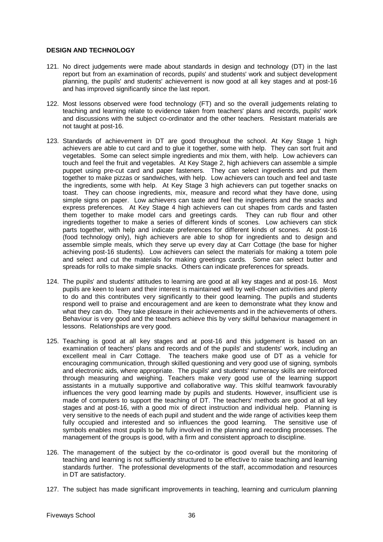### **DESIGN AND TECHNOLOGY**

- 121. No direct judgements were made about standards in design and technology (DT) in the last report but from an examination of records, pupils' and students' work and subject development planning, the pupils' and students' achievement is now good at all key stages and at post-16 and has improved significantly since the last report.
- 122. Most lessons observed were food technology (FT) and so the overall judgements relating to teaching and learning relate to evidence taken from teachers' plans and records, pupils' work and discussions with the subject co-ordinator and the other teachers. Resistant materials are not taught at post-16.
- 123. Standards of achievement in DT are good throughout the school. At Key Stage 1 high achievers are able to cut card and to glue it together, some with help. They can sort fruit and vegetables. Some can select simple ingredients and mix them, with help. Low achievers can touch and feel the fruit and vegetables. At Key Stage 2, high achievers can assemble a simple puppet using pre-cut card and paper fasteners. They can select ingredients and put them together to make pizzas or sandwiches, with help. Low achievers can touch and feel and taste the ingredients, some with help. At Key Stage 3 high achievers can put together snacks on toast. They can choose ingredients, mix, measure and record what they have done, using simple signs on paper. Low achievers can taste and feel the ingredients and the snacks and express preferences. At Key Stage 4 high achievers can cut shapes from cards and fasten them together to make model cars and greetings cards. They can rub flour and other ingredients together to make a series of different kinds of scones. Low achievers can stick parts together, with help and indicate preferences for different kinds of scones. At post-16 (food technology only), high achievers are able to shop for ingredients and to design and assemble simple meals, which they serve up every day at Carr Cottage (the base for higher achieving post-16 students). Low achievers can select the materials for making a totem pole and select and cut the materials for making greetings cards. Some can select butter and spreads for rolls to make simple snacks. Others can indicate preferences for spreads.
- 124. The pupils' and students' attitudes to learning are good at all key stages and at post-16. Most pupils are keen to learn and their interest is maintained well by well-chosen activities and plenty to do and this contributes very significantly to their good learning. The pupils and students respond well to praise and encouragement and are keen to demonstrate what they know and what they can do. They take pleasure in their achievements and in the achievements of others. Behaviour is very good and the teachers achieve this by very skilful behaviour management in lessons. Relationships are very good.
- 125. Teaching is good at all key stages and at post-16 and this judgement is based on an examination of teachers' plans and records and of the pupils' and students' work, including an excellent meal in Carr Cottage. The teachers make good use of DT as a vehicle for encouraging communication, through skilled questioning and very good use of signing, symbols and electronic aids, where appropriate. The pupils' and students' numeracy skills are reinforced through measuring and weighing. Teachers make very good use of the learning support assistants in a mutually supportive and collaborative way. This skilful teamwork favourably influences the very good learning made by pupils and students. However, insufficient use is made of computers to support the teaching of DT. The teachers' methods are good at all key stages and at post-16, with a good mix of direct instruction and individual help. Planning is very sensitive to the needs of each pupil and student and the wide range of activities keep them fully occupied and interested and so influences the good learning. The sensitive use of symbols enables most pupils to be fully involved in the planning and recording processes. The management of the groups is good, with a firm and consistent approach to discipline.
- 126. The management of the subject by the co-ordinator is good overall but the monitoring of teaching and learning is not sufficiently structured to be effective to raise teaching and learning standards further. The professional developments of the staff, accommodation and resources in DT are satisfactory.
- 127. The subject has made significant improvements in teaching, learning and curriculum planning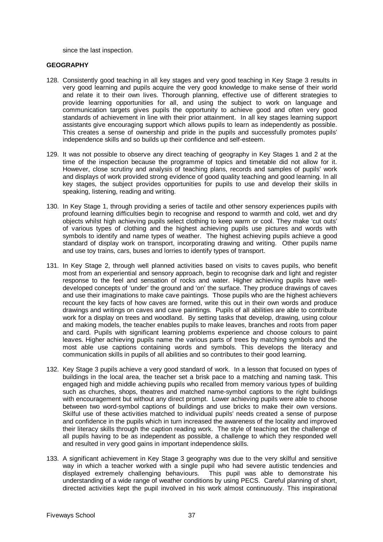since the last inspection.

#### **GEOGRAPHY**

- 128. Consistently good teaching in all key stages and very good teaching in Key Stage 3 results in very good learning and pupils acquire the very good knowledge to make sense of their world and relate it to their own lives. Thorough planning, effective use of different strategies to provide learning opportunities for all, and using the subject to work on language and communication targets gives pupils the opportunity to achieve good and often very good standards of achievement in line with their prior attainment. In all key stages learning support assistants give encouraging support which allows pupils to learn as independently as possible. This creates a sense of ownership and pride in the pupils and successfully promotes pupils' independence skills and so builds up their confidence and self-esteem.
- 129. It was not possible to observe any direct teaching of geography in Key Stages 1 and 2 at the time of the inspection because the programme of topics and timetable did not allow for it. However, close scrutiny and analysis of teaching plans, records and samples of pupils' work and displays of work provided strong evidence of good quality teaching and good learning. In all key stages, the subject provides opportunities for pupils to use and develop their skills in speaking, listening, reading and writing.
- 130. In Key Stage 1, through providing a series of tactile and other sensory experiences pupils with profound learning difficulties begin to recognise and respond to warmth and cold, wet and dry objects whilst high achieving pupils select clothing to keep warm or cool. They make 'cut outs' of various types of clothing and the highest achieving pupils use pictures and words with symbols to identify and name types of weather. The highest achieving pupils achieve a good standard of display work on transport, incorporating drawing and writing. Other pupils name and use toy trains, cars, buses and lorries to identify types of transport.
- 131. In Key Stage 2, through well planned activities based on visits to caves pupils, who benefit most from an experiential and sensory approach, begin to recognise dark and light and register response to the feel and sensation of rocks and water. Higher achieving pupils have welldeveloped concepts of 'under' the ground and 'on' the surface. They produce drawings of caves and use their imaginations to make cave paintings. Those pupils who are the highest achievers recount the key facts of how caves are formed, write this out in their own words and produce drawings and writings on caves and cave paintings. Pupils of all abilities are able to contribute work for a display on trees and woodland. By setting tasks that develop, drawing, using colour and making models, the teacher enables pupils to make leaves, branches and roots from paper and card. Pupils with significant learning problems experience and choose colours to paint leaves. Higher achieving pupils name the various parts of trees by matching symbols and the most able use captions containing words and symbols. This develops the literacy and communication skills in pupils of all abilities and so contributes to their good learning.
- 132. Key Stage 3 pupils achieve a very good standard of work. In a lesson that focused on types of buildings in the local area, the teacher set a brisk pace to a matching and naming task. This engaged high and middle achieving pupils who recalled from memory various types of building such as churches, shops, theatres and matched name-symbol captions to the right buildings with encouragement but without any direct prompt. Lower achieving pupils were able to choose between two word-symbol captions of buildings and use bricks to make their own versions. Skilful use of these activities matched to individual pupils' needs created a sense of purpose and confidence in the pupils which in turn increased the awareness of the locality and improved their literacy skills through the caption reading work. The style of teaching set the challenge of all pupils having to be as independent as possible, a challenge to which they responded well and resulted in very good gains in important independence skills.
- 133. A significant achievement in Key Stage 3 geography was due to the very skilful and sensitive way in which a teacher worked with a single pupil who had severe autistic tendencies and displayed extremely challenging behaviours. This pupil was able to demonstrate his understanding of a wide range of weather conditions by using PECS. Careful planning of short, directed activities kept the pupil involved in his work almost continuously. This inspirational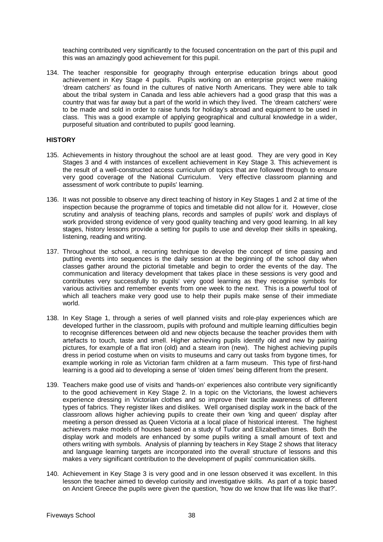teaching contributed very significantly to the focused concentration on the part of this pupil and this was an amazingly good achievement for this pupil.

134. The teacher responsible for geography through enterprise education brings about good achievement in Key Stage 4 pupils. Pupils working on an enterprise project were making 'dream catchers' as found in the cultures of native North Americans. They were able to talk about the tribal system in Canada and less able achievers had a good grasp that this was a country that was far away but a part of the world in which they lived. The 'dream catchers' were to be made and sold in order to raise funds for holiday's abroad and equipment to be used in class. This was a good example of applying geographical and cultural knowledge in a wider, purposeful situation and contributed to pupils' good learning.

#### **HISTORY**

- 135. Achievements in history throughout the school are at least good. They are very good in Key Stages 3 and 4 with instances of excellent achievement in Key Stage 3. This achievement is the result of a well-constructed access curriculum of topics that are followed through to ensure very good coverage of the National Curriculum. Very effective classroom planning and assessment of work contribute to pupils' learning.
- 136. It was not possible to observe any direct teaching of history in Key Stages 1 and 2 at time of the inspection because the programme of topics and timetable did not allow for it. However, close scrutiny and analysis of teaching plans, records and samples of pupils' work and displays of work provided strong evidence of very good quality teaching and very good learning. In all key stages, history lessons provide a setting for pupils to use and develop their skills in speaking, listening, reading and writing.
- 137. Throughout the school, a recurring technique to develop the concept of time passing and putting events into sequences is the daily session at the beginning of the school day when classes gather around the pictorial timetable and begin to order the events of the day. The communication and literacy development that takes place in these sessions is very good and contributes very successfully to pupils' very good learning as they recognise symbols for various activities and remember events from one week to the next. This is a powerful tool of which all teachers make very good use to help their pupils make sense of their immediate world.
- 138. In Key Stage 1, through a series of well planned visits and role-play experiences which are developed further in the classroom, pupils with profound and multiple learning difficulties begin to recognise differences between old and new objects because the teacher provides them with artefacts to touch, taste and smell. Higher achieving pupils identify old and new by pairing pictures, for example of a flat iron (old) and a steam iron (new). The highest achieving pupils dress in period costume when on visits to museums and carry out tasks from bygone times, for example working in role as Victorian farm children at a farm museum. This type of first-hand learning is a good aid to developing a sense of 'olden times' being different from the present.
- 139. Teachers make good use of visits and 'hands-on' experiences also contribute very significantly to the good achievement in Key Stage 2. In a topic on the Victorians, the lowest achievers experience dressing in Victorian clothes and so improve their tactile awareness of different types of fabrics. They register likes and dislikes. Well organised display work in the back of the classroom allows higher achieving pupils to create their own 'king and queen' display after meeting a person dressed as Queen Victoria at a local place of historical interest. The highest achievers make models of houses based on a study of Tudor and Elizabethan times. Both the display work and models are enhanced by some pupils writing a small amount of text and others writing with symbols. Analysis of planning by teachers in Key Stage 2 shows that literacy and language learning targets are incorporated into the overall structure of lessons and this makes a very significant contribution to the development of pupils' communication skills.
- 140. Achievement in Key Stage 3 is very good and in one lesson observed it was excellent. In this lesson the teacher aimed to develop curiosity and investigative skills. As part of a topic based on Ancient Greece the pupils were given the question, 'how do we know that life was like that?'.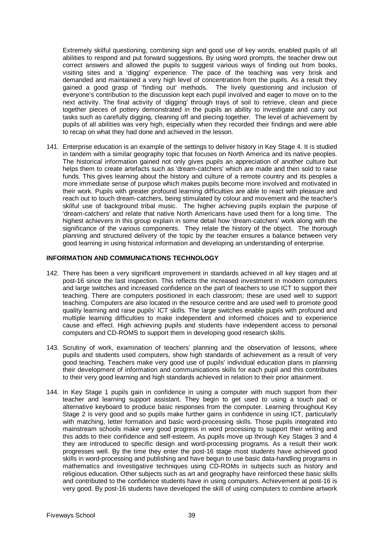Extremely skilful questioning, combining sign and good use of key words, enabled pupils of all abilities to respond and put forward suggestions. By using word prompts, the teacher drew out correct answers and allowed the pupils to suggest various ways of finding out from books, visiting sites and a 'digging' experience. The pace of the teaching was very brisk and demanded and maintained a very high level of concentration from the pupils. As a result they gained a good grasp of 'finding out' methods. The lively questioning and inclusion of everyone's contribution to the discussion kept each pupil involved and eager to move on to the next activity. The final activity of 'digging' through trays of soil to retrieve, clean and piece together pieces of pottery demonstrated in the pupils an ability to investigate and carry out tasks such as carefully digging, cleaning off and piecing together. The level of achievement by pupils of all abilities was very high, especially when they recorded their findings and were able to recap on what they had done and achieved in the lesson.

141. Enterprise education is an example of the settings to deliver history in Key Stage 4. It is studied in tandem with a similar geography topic that focuses on North America and its native peoples. The historical information gained not only gives pupils an appreciation of another culture but helps them to create artefacts such as 'dream-catchers' which are made and then sold to raise funds. This gives learning about the history and culture of a remote country and its peoples a more immediate sense of purpose which makes pupils become more involved and motivated in their work. Pupils with greater profound learning difficulties are able to react with pleasure and reach out to touch dream-catchers, being stimulated by colour and movement and the teacher's skilful use of background tribal music. The higher achieving pupils explain the purpose of 'dream-catchers' and relate that native North Americans have used them for a long time. The highest achievers in this group explain in some detail how 'dream-catchers' work along with the significance of the various components. They relate the history of the object. The thorough planning and structured delivery of the topic by the teacher ensures a balance between very good learning in using historical information and developing an understanding of enterprise.

# **INFORMATION AND COMMUNICATIONS TECHNOLOGY**

- 142. There has been a very significant improvement in standards achieved in all key stages and at post-16 since the last inspection. This reflects the increased investment in modern computers and large switches and increased confidence on the part of teachers to use ICT to support their teaching. There are computers positioned in each classroom; these are used well to support teaching. Computers are also located in the resource centre and are used well to promote good quality learning and raise pupils' ICT skills. The large switches enable pupils with profound and multiple learning difficulties to make independent and informed choices and to experience cause and effect. High achieving pupils and students have independent access to personal computers and CD-ROMS to support them in developing good research skills.
- 143. Scrutiny of work, examination of teachers' planning and the observation of lessons, where pupils and students used computers, show high standards of achievement as a result of very good teaching. Teachers make very good use of pupils' individual education plans in planning their development of information and communications skills for each pupil and this contributes to their very good learning and high standards achieved in relation to their prior attainment.
- 144. In Key Stage 1 pupils gain in confidence in using a computer with much support from their teacher and learning support assistant. They begin to get used to using a touch pad or alternative keyboard to produce basic responses from the computer. Learning throughout Key Stage 2 is very good and so pupils make further gains in confidence in using ICT, particularly with matching, letter formation and basic word-processing skills. Those pupils integrated into mainstream schools make very good progress in word processing to support their writing and this adds to their confidence and self-esteem. As pupils move up through Key Stages 3 and 4 they are introduced to specific design and word-processing programs. As a result their work progresses well. By the time they enter the post-16 stage most students have achieved good skills in word-processing and publishing and have begun to use basic data-handling programs in mathematics and investigative techniques using CD-ROMs in subjects such as history and religious education. Other subjects such as art and geography have reinforced these basic skills and contributed to the confidence students have in using computers. Achievement at post-16 is very good. By post-16 students have developed the skill of using computers to combine artwork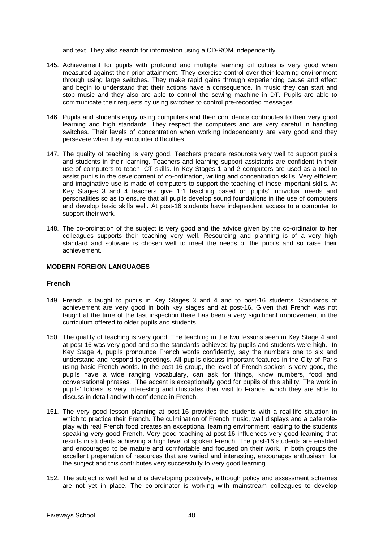and text. They also search for information using a CD-ROM independently.

- 145. Achievement for pupils with profound and multiple learning difficulties is very good when measured against their prior attainment. They exercise control over their learning environment through using large switches. They make rapid gains through experiencing cause and effect and begin to understand that their actions have a consequence. In music they can start and stop music and they also are able to control the sewing machine in DT. Pupils are able to communicate their requests by using switches to control pre-recorded messages.
- 146. Pupils and students enjoy using computers and their confidence contributes to their very good learning and high standards. They respect the computers and are very careful in handling switches. Their levels of concentration when working independently are very good and they persevere when they encounter difficulties.
- 147. The quality of teaching is very good. Teachers prepare resources very well to support pupils and students in their learning. Teachers and learning support assistants are confident in their use of computers to teach ICT skills. In Key Stages 1 and 2 computers are used as a tool to assist pupils in the development of co-ordination, writing and concentration skills. Very efficient and imaginative use is made of computers to support the teaching of these important skills. At Key Stages 3 and 4 teachers give 1:1 teaching based on pupils' individual needs and personalities so as to ensure that all pupils develop sound foundations in the use of computers and develop basic skills well. At post-16 students have independent access to a computer to support their work.
- 148. The co-ordination of the subject is very good and the advice given by the co-ordinator to her colleagues supports their teaching very well. Resourcing and planning is of a very high standard and software is chosen well to meet the needs of the pupils and so raise their achievement.

#### **MODERN FOREIGN LANGUAGES**

# **French**

- 149. French is taught to pupils in Key Stages 3 and 4 and to post-16 students. Standards of achievement are very good in both key stages and at post-16. Given that French was not taught at the time of the last inspection there has been a very significant improvement in the curriculum offered to older pupils and students.
- 150. The quality of teaching is very good. The teaching in the two lessons seen in Key Stage 4 and at post-16 was very good and so the standards achieved by pupils and students were high. In Key Stage 4, pupils pronounce French words confidently, say the numbers one to six and understand and respond to greetings. All pupils discuss important features in the City of Paris using basic French words. In the post-16 group, the level of French spoken is very good, the pupils have a wide ranging vocabulary, can ask for things, know numbers, food and conversational phrases. The accent is exceptionally good for pupils of this ability. The work in pupils' folders is very interesting and illustrates their visit to France, which they are able to discuss in detail and with confidence in French.
- 151. The very good lesson planning at post-16 provides the students with a real-life situation in which to practice their French. The culmination of French music, wall displays and a cafe roleplay with real French food creates an exceptional learning environment leading to the students speaking very good French. Very good teaching at post-16 influences very good learning that results in students achieving a high level of spoken French. The post-16 students are enabled and encouraged to be mature and comfortable and focused on their work. In both groups the excellent preparation of resources that are varied and interesting, encourages enthusiasm for the subject and this contributes very successfully to very good learning.
- 152. The subject is well led and is developing positively, although policy and assessment schemes are not yet in place. The co-ordinator is working with mainstream colleagues to develop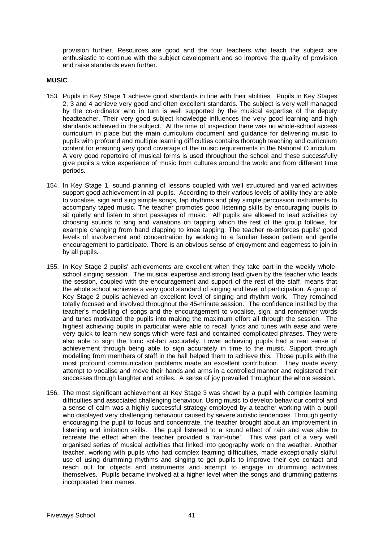provision further. Resources are good and the four teachers who teach the subject are enthusiastic to continue with the subject development and so improve the quality of provision and raise standards even further.

#### **MUSIC**

- 153. Pupils in Key Stage 1 achieve good standards in line with their abilities. Pupils in Key Stages 2, 3 and 4 achieve very good and often excellent standards. The subject is very well managed by the co-ordinator who in turn is well supported by the musical expertise of the deputy headteacher. Their very good subject knowledge influences the very good learning and high standards achieved in the subject. At the time of inspection there was no whole-school access curriculum in place but the main curriculum document and guidance for delivering music to pupils with profound and multiple learning difficulties contains thorough teaching and curriculum content for ensuring very good coverage of the music requirements in the National Curriculum. A very good repertoire of musical forms is used throughout the school and these successfully give pupils a wide experience of music from cultures around the world and from different time periods.
- 154. In Key Stage 1, sound planning of lessons coupled with well structured and varied activities support good achievement in all pupils. According to their various levels of ability they are able to vocalise, sign and sing simple songs, tap rhythms and play simple percussion instruments to accompany taped music. The teacher promotes good listening skills by encouraging pupils to sit quietly and listen to short passages of music. All pupils are allowed to lead activities by choosing sounds to sing and variations on tapping which the rest of the group follows, for example changing from hand clapping to knee tapping. The teacher re-enforces pupils' good levels of involvement and concentration by working to a familiar lesson pattern and gentle encouragement to participate. There is an obvious sense of enjoyment and eagerness to join in by all pupils.
- 155. In Key Stage 2 pupils' achievements are excellent when they take part in the weekly wholeschool singing session. The musical expertise and strong lead given by the teacher who leads the session, coupled with the encouragement and support of the rest of the staff, means that the whole school achieves a very good standard of singing and level of participation. A group of Key Stage 2 pupils achieved an excellent level of singing and rhythm work. They remained totally focused and involved throughout the 45-minute session. The confidence instilled by the teacher's modelling of songs and the encouragement to vocalise, sign, and remember words and tunes motivated the pupils into making the maximum effort all through the session. The highest achieving pupils in particular were able to recall lyrics and tunes with ease and were very quick to learn new songs which were fast and contained complicated phrases. They were also able to sign the tonic sol-fah accurately. Lower achieving pupils had a real sense of achievement through being able to sign accurately in time to the music. Support through modelling from members of staff in the hall helped them to achieve this. Those pupils with the most profound communication problems made an excellent contribution. They made every attempt to vocalise and move their hands and arms in a controlled manner and registered their successes through laughter and smiles. A sense of joy prevailed throughout the whole session.
- 156. The most significant achievement at Key Stage 3 was shown by a pupil with complex learning difficulties and associated challenging behaviour. Using music to develop behaviour control and a sense of calm was a highly successful strategy employed by a teacher working with a pupil who displayed very challenging behaviour caused by severe autistic tendencies. Through gently encouraging the pupil to focus and concentrate, the teacher brought about an improvement in listening and imitation skills. The pupil listened to a sound effect of rain and was able to recreate the effect when the teacher provided a 'rain-tube'. This was part of a very well organised series of musical activities that linked into geography work on the weather. Another teacher, working with pupils who had complex learning difficulties, made exceptionally skilful use of using drumming rhythms and singing to get pupils to improve their eye contact and reach out for objects and instruments and attempt to engage in drumming activities themselves. Pupils became involved at a higher level when the songs and drumming patterns incorporated their names.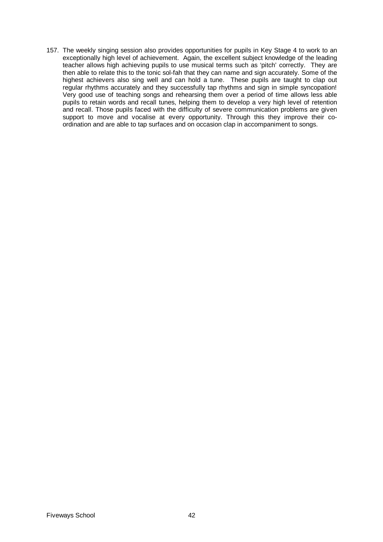157. The weekly singing session also provides opportunities for pupils in Key Stage 4 to work to an exceptionally high level of achievement. Again, the excellent subject knowledge of the leading teacher allows high achieving pupils to use musical terms such as 'pitch' correctly. They are then able to relate this to the tonic sol-fah that they can name and sign accurately. Some of the highest achievers also sing well and can hold a tune. These pupils are taught to clap out regular rhythms accurately and they successfully tap rhythms and sign in simple syncopation! Very good use of teaching songs and rehearsing them over a period of time allows less able pupils to retain words and recall tunes, helping them to develop a very high level of retention and recall. Those pupils faced with the difficulty of severe communication problems are given support to move and vocalise at every opportunity. Through this they improve their coordination and are able to tap surfaces and on occasion clap in accompaniment to songs.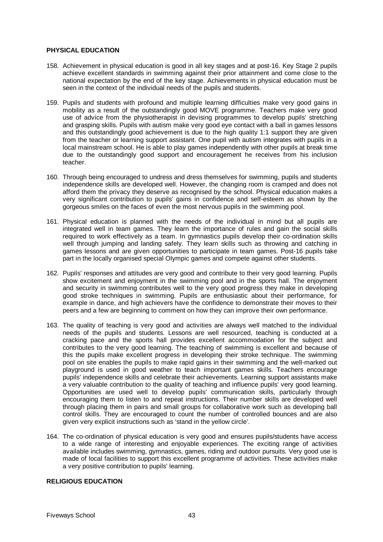#### **PHYSICAL EDUCATION**

- 158. Achievement in physical education is good in all key stages and at post-16. Key Stage 2 pupils achieve excellent standards in swimming against their prior attainment and come close to the national expectation by the end of the key stage. Achievements in physical education must be seen in the context of the individual needs of the pupils and students.
- 159. Pupils and students with profound and multiple learning difficulties make very good gains in mobility as a result of the outstandingly good MOVE programme. Teachers make very good use of advice from the physiotherapist in devising programmes to develop pupils' stretching and grasping skills. Pupils with autism make very good eye contact with a ball in games lessons and this outstandingly good achievement is due to the high quality 1:1 support they are given from the teacher or learning support assistant. One pupil with autism integrates with pupils in a local mainstream school. He is able to play games independently with other pupils at break time due to the outstandingly good support and encouragement he receives from his inclusion teacher.
- 160. Through being encouraged to undress and dress themselves for swimming, pupils and students independence skills are developed well. However, the changing room is cramped and does not afford them the privacy they deserve as recognised by the school. Physical education makes a very significant contribution to pupils' gains in confidence and self-esteem as shown by the gorgeous smiles on the faces of even the most nervous pupils in the swimming pool.
- 161. Physical education is planned with the needs of the individual in mind but all pupils are integrated well in team games. They learn the importance of rules and gain the social skills required to work effectively as a team. In gymnastics pupils develop their co-ordination skills well through jumping and landing safely. They learn skills such as throwing and catching in games lessons and are given opportunities to participate in team games. Post-16 pupils take part in the locally organised special Olympic games and compete against other students.
- 162. Pupils' responses and attitudes are very good and contribute to their very good learning. Pupils show excitement and enjoyment in the swimming pool and in the sports hall. The enjoyment and security in swimming contributes well to the very good progress they make in developing good stroke techniques in swimming. Pupils are enthusiastic about their performance, for example in dance, and high achievers have the confidence to demonstrate their moves to their peers and a few are beginning to comment on how they can improve their own performance.
- 163. The quality of teaching is very good and activities are always well matched to the individual needs of the pupils and students. Lessons are well resourced, teaching is conducted at a cracking pace and the sports hall provides excellent accommodation for the subject and contributes to the very good learning. The teaching of swimming is excellent and because of this the pupils make excellent progress in developing their stroke technique. The swimming pool on site enables the pupils to make rapid gains in their swimming and the well-marked out playground is used in good weather to teach important games skills. Teachers encourage pupils' independence skills and celebrate their achievements. Learning support assistants make a very valuable contribution to the quality of teaching and influence pupils' very good learning. Opportunities are used well to develop pupils' communication skills, particularly through encouraging them to listen to and repeat instructions. Their number skills are developed well through placing them in pairs and small groups for collaborative work such as developing ball control skills. They are encouraged to count the number of controlled bounces and are also given very explicit instructions such as 'stand in the yellow circle'.
- 164. The co-ordination of physical education is very good and ensures pupils/students have access to a wide range of interesting and enjoyable experiences. The exciting range of activities available includes swimming, gymnastics, games, riding and outdoor pursuits. Very good use is made of local facilities to support this excellent programme of activities. These activities make a very positive contribution to pupils' learning.

# **RELIGIOUS EDUCATION**